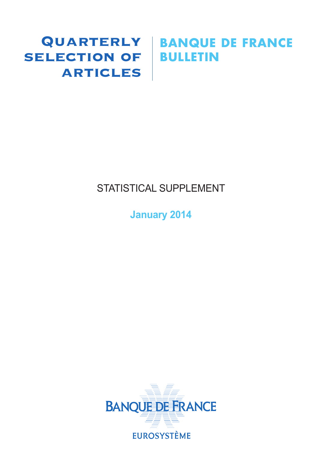# SELECTION OF BULLETIN **ARTICLES**

# Quarterly **BANQUE DE FRANCE**

# STATISTICAL SUPPLEMENT

**January 2014**

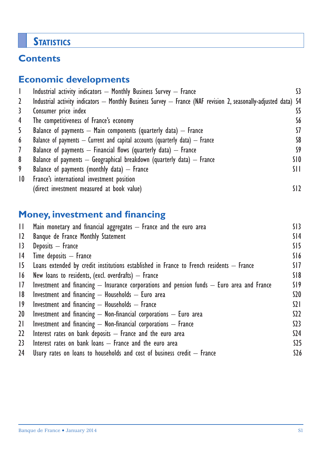# **STATISTICS**

# **Contents**

# **Economic developments**

|                 | Industrial activity indicators - Monthly Business Survey - France                                               |                 |
|-----------------|-----------------------------------------------------------------------------------------------------------------|-----------------|
| 2               | Industrial activity indicators — Monthly Business Survey — France (NAF revision 2, seasonally-adjusted data) S4 |                 |
| 3               | Consumer price index                                                                                            | S5              |
| 4               | The competitiveness of France's economy                                                                         | S6              |
| 5               | Balance of payments $-$ Main components (quarterly data) $-$ France                                             | 57              |
| 6               | Balance of payments $-$ Current and capital accounts (quarterly data) $-$ France                                | S8              |
| $\mathcal{I}$   | Balance of payments $-$ Financial flows (quarterly data) $-$ France                                             | S9              |
| 8               | Balance of payments $-$ Geographical breakdown (quarterly data) $-$ France                                      | SIO.            |
| 9               | Balance of payments (monthly data) $-$ France                                                                   | SH.             |
| $\overline{10}$ | France's international investment position                                                                      |                 |
|                 | (direct investment measured at book value)                                                                      | SI <sub>2</sub> |

# **Money, investment and financing**

| $\mathbf{H}$ | Main monetary and financial aggregates $-$ France and the euro area                            | S13             |
|--------------|------------------------------------------------------------------------------------------------|-----------------|
| 12           | Banque de France Monthly Statement                                                             | S <sub>14</sub> |
| $ 3\rangle$  | Deposits - France                                                                              | SI5             |
| 4            | Time deposits $-$ France                                                                       | S16             |
| 15           | Loans extended by credit institutions established in France to French residents $-$ France     | SI7             |
| 16           | New loans to residents, (excl. overdrafts) $-$ France                                          | S18             |
| 17           | Investment and financing $-$ Insurance corporations and pension funds $-$ Euro area and France | S19             |
| 8            | Investment and financing $-$ Households $-$ Euro area                                          | \$20            |
| $ 9\rangle$  | Investment and financing $-$ Households $-$ France                                             | $\Omega$        |
| 20           | Investment and financing $-$ Non-financial corporations $-$ Euro area                          | S <sub>2</sub>  |
| 21           | Investment and financing $-$ Non-financial corporations $-$ France                             | 523             |
| $22 \,$      | Interest rates on bank deposits $-$ France and the euro area                                   | S <sub>24</sub> |
| 23           | Interest rates on bank loans $-$ France and the euro area                                      | \$25            |
| 24           | Usury rates on loans to households and cost of business credit $-$ France                      | \$26            |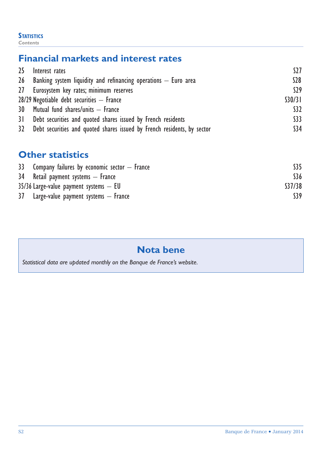#### **STATISTICS** *Contents*

# **Financial markets and interest rates**

| 25 Interest rates                                                          | S27             |
|----------------------------------------------------------------------------|-----------------|
| 26 Banking system liquidity and refinancing operations $-$ Euro area       | \$28            |
| 27 Eurosystem key rates; minimum reserves                                  | S29             |
| $28/29$ Negotiable debt securities $-$ France                              | S30/31          |
| 30 Mutual fund shares/units - France                                       | S <sub>32</sub> |
| 31 Debt securities and quoted shares issued by French residents            | \$33            |
| 32 Debt securities and quoted shares issued by French residents, by sector | \$34            |

# **Other statistics**

| 33 Company failures by economic sector $-$ France |        |
|---------------------------------------------------|--------|
| 34 Retail payment systems – France                | \$36   |
| $35/36$ Large-value payment systems $-$ EU        | S37/38 |
| 37 Large-value payment systems — France           | S39    |

# **Nota bene**

*Statistical data are updated monthly on the Banque de France's website.*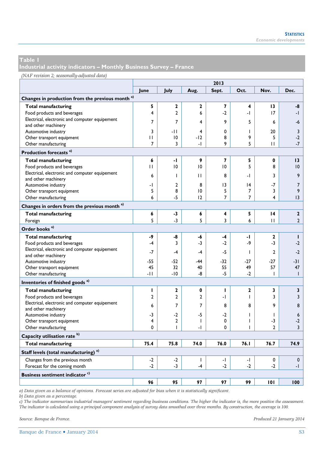**Industrial activity indicators – Monthly Business Survey – France** 

#### *(NAF revision 2; seasonally-adjusted data)*

|                                                             | 2013         |                |                |                 |              |                |                |  |  |
|-------------------------------------------------------------|--------------|----------------|----------------|-----------------|--------------|----------------|----------------|--|--|
|                                                             | June         | July           | Aug.           | Sept.           | Oct.         | Nov.           | Dec.           |  |  |
| Changes in production from the previous month <sup>a)</sup> |              |                |                |                 |              |                |                |  |  |
| <b>Total manufacturing</b>                                  | 5            | $\mathbf{z}$   | $\mathbf{2}$   | $\overline{7}$  | 4            | 13             | -8             |  |  |
| Food products and beverages                                 | 4            | $\overline{2}$ | 6              | $-2$            | -1           | 17             | -1             |  |  |
| Electrical, electronic and computer equipement              | 7            | $\overline{7}$ | 4              | 9               | 5            | 6              |                |  |  |
| and other machinery                                         |              |                |                |                 |              |                | -6             |  |  |
| Automotive industry                                         | 3            | $-11$          | 4              | 0               | T            | 20             | 3              |  |  |
| Other transport equipment                                   | П            | 10             | -12            | 8               | 9            | 5              | $-2$           |  |  |
| Other manufacturing                                         | 7            | 3              | -1             | 9               | 5            | П              | $-7$           |  |  |
| Production forecasts <sup>a)</sup>                          |              |                |                |                 |              |                |                |  |  |
| <b>Total manufacturing</b>                                  | 6            | -1             | 9              | 7               | 5            | 0              | 13             |  |  |
| Food products and beverages                                 | $\mathbf{H}$ | 10             | 10             | 10              | 5            | 8              | 10             |  |  |
| Electrical, electronic and computer equipement              | 6            | I              | Ш              | 8               | -1           | 3              | 9              |  |  |
| and other machinery                                         |              |                |                |                 |              |                |                |  |  |
| Automotive industry                                         | -1           | $\mathbf{2}$   | 8              | $\overline{13}$ | 4            | $-7$           | $\overline{7}$ |  |  |
| Other transport equipment                                   | 5            | 8              | 10             | 5               | 7            | 3              | 9              |  |  |
| Other manufacturing                                         | 6            | -5             | 12             | $\overline{7}$  | 7            | 4              | 13             |  |  |
| Changes in orders from the previous month <sup>a)</sup>     |              |                |                |                 |              |                |                |  |  |
| <b>Total manufacturing</b>                                  | 6            | $-3$           | 6              | 4               | 5            | 14             | $\overline{2}$ |  |  |
| Foreign                                                     | 5            | $-3$           | 5              | 3               | 6            | $\mathbf{H}$   | $\overline{2}$ |  |  |
| Order books <sup>a)</sup>                                   |              |                |                |                 |              |                |                |  |  |
| <b>Total manufacturing</b>                                  | -9           | -8             | -6             | -4              | -1           | $\mathbf{2}$   | $\mathbf{I}$   |  |  |
| Food products and beverages                                 | $-4$         | 3              | $-3$           | $-2$            | -9           | $-3$           | $-2$           |  |  |
| Electrical, electronic and computer equipement              | $-7$         | -4             | $-4$           | $-5$            | T            | $\overline{2}$ | $-2$           |  |  |
| and other machinery                                         |              |                |                |                 |              |                |                |  |  |
| Automotive industry                                         | $-55$        | $-52$          | -44            | $-32$           | $-27$        | $-27$          | -31            |  |  |
| Other transport equipment                                   | 45           | 32             | 40             | 55              | 49           | 57             | 47             |  |  |
| Other manufacturing                                         | -11          | $-10$          | -8             | $-5$            | $-2$         | T              | $\mathbf{I}$   |  |  |
| Inventories of finished goods <sup>a)</sup>                 |              |                |                |                 |              |                |                |  |  |
| <b>Total manufacturing</b>                                  | п            | 2              | $\mathbf{0}$   | п               | $\mathbf{2}$ | 3              | 3              |  |  |
| Food products and beverages                                 | 2            | $\mathbf{2}$   | $\overline{2}$ | -1              | L            | 3              | 3              |  |  |
| Electrical, electronic and computer equipement              | 6            | $\overline{7}$ | $\overline{7}$ | 8               | 8            | 9              | 8              |  |  |
| and other machinery                                         |              |                |                |                 |              |                |                |  |  |
| Automotive industry                                         | $-3$         | $-2$           | $-5$           | $-2$            | ı            | T              | 6              |  |  |
| Other transport equipment                                   | 4            | $\overline{2}$ | $\mathbf{I}$   | 0               | L            | $-3$           | $-2$           |  |  |
| Other manufacturing                                         | 0            | T              | -1             | 0               | ı            | $\mathfrak{p}$ | 3              |  |  |
| Capacity utilisation rate <sup>b)</sup>                     |              |                |                |                 |              |                |                |  |  |
| <b>Total manufacturing</b>                                  | 75.4         | 75.8           | 74.0           | 76.0            | 76.1         | 76.7           | 74.9           |  |  |
| Staff levels (total manufacturing) <sup>a)</sup>            |              |                |                |                 |              |                |                |  |  |
| Changes from the previous month                             | $-2$         | $-2$           | $\mathbf{I}$   | $\mathbf{I}$    | -1           | 0              | $\mathbf 0$    |  |  |
| Forecast for the coming month                               | $-2$         | $-3$           | $-4$           | $-2$            | $-2$         | $-2$           | -1             |  |  |
| Business sentiment indicator <sup>c)</sup>                  |              |                |                |                 |              |                |                |  |  |
|                                                             | 96           | 95             | 97             | 97              | 99           | 101            | 100            |  |  |

*a) Data given as a balance of opinions. Forecast series are adjusted for bias when it is statistically significant.* 

*b) Data given as a percentage.* 

*c) The indicator summarises industrial managers' sentiment regarding business conditions. The higher the indicator is, the more positive the assessment. The indicator is calculated using a principal component analysis of survey data smoothed over three months. By construction, the average is 100.*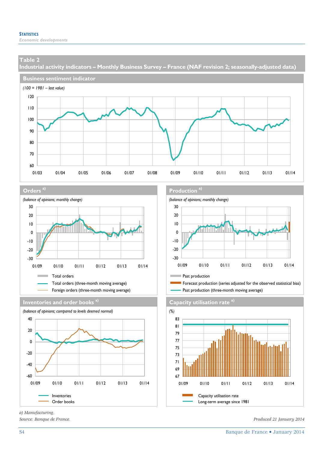**Industrial activity indicators – Monthly Business Survey – France (NAF revision 2; seasonally-adjusted data)** 







**Inventories and order books a) Capacity utilisation rate** a)



*a) Manufacturing.* 

#### **Orders** a) **Production Production Production Production Production Production**



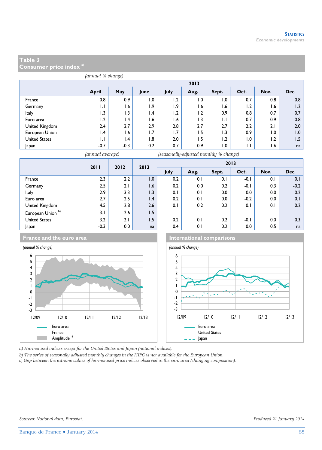**Consumer price index a)**

| (annual % change)    |                 |                 |      |      |      |       |              |                |      |  |  |  |
|----------------------|-----------------|-----------------|------|------|------|-------|--------------|----------------|------|--|--|--|
|                      |                 | 2013            |      |      |      |       |              |                |      |  |  |  |
|                      | April           | May             | June | July | Aug. | Sept. | Oct.         | Nov.           | Dec. |  |  |  |
| France               | 0.8             | 0.9             | 1.0  | 1.2  | 0.1  | 1.0   | 0.7          | 0.8            | 0.8  |  |  |  |
| Germany              | $\mathsf{L}$    | 1.6             | 1.9  | 1.9  | 1.6  | 1.6   | 1.2          | 1.6            | 1.2  |  |  |  |
| Italy                | 1.3             | 1.3             | 1.4  | 1.2  | 1.2  | 0.9   | 0.8          | 0.7            | 0.7  |  |  |  |
| Euro area            | 1.2             | $\mathsf{I}$ .4 | 1.6  | l.6  | 1.3  | IJ    | 0.7          | 0.9            | 0.8  |  |  |  |
| United Kingdom       | 2.4             | 2.7             | 2.9  | 2.8  | 2.7  | 2.7   | 2.2          | 2.1            | 2.0  |  |  |  |
| European Union       | $\mathsf{I}$ .4 | 1.6             | 1.7  | 1.7  | 1.5  | 1.3   | 0.9          | $\overline{0}$ | 1.0  |  |  |  |
| <b>United States</b> | 1.1             | $\mathsf{I}$ .4 | 1.8  | 2.0  | 1.5  | 1.2   | 1.0          | 1.2            | 1.5  |  |  |  |
| Japan                | $-0.7$          | $-0.3$          | 0.2  | 0.7  | 0.9  | 0.1   | $\mathsf{L}$ | 1.6            | na   |  |  |  |



*(annual average) (seasonally-adjusted monthly % change)*

|                      | 2011   | 2012 |     |                          | 2013 |                              |                          |      | 2013   |  |  |
|----------------------|--------|------|-----|--------------------------|------|------------------------------|--------------------------|------|--------|--|--|
|                      |        |      |     | July                     | Aug. | Sept.                        | Oct.                     | Nov. | Dec.   |  |  |
| France               | 2.3    | 2.2  | 1.0 | 0.2                      | 0.1  | 0.1                          | $-0.1$                   | 0.1  | 0.1    |  |  |
| Germany              | 2.5    | 2.1  | 1.6 | 0.2                      | 0.0  | 0.2                          | $-0.1$                   | 0.3  | $-0.2$ |  |  |
| Italy                | 2.9    | 3.3  | 1.3 | 0.1                      | 0.1  | 0.0                          | 0.0                      | 0.0  | 0.2    |  |  |
| Euro area            | 2.7    | 2.5  | 1.4 | 0.2                      | 0.1  | 0.0                          | $-0.2$                   | 0.0  | 0.1    |  |  |
| United Kingdom       | 4.5    | 2.8  | 2.6 | 0.1                      | 0.2  | 0.2                          | 0.1                      | 0.1  | 0.2    |  |  |
| European Union b)    | 3.1    | 2.6  | 1.5 | $\overline{\phantom{m}}$ | -    | $\qquad \qquad \blacksquare$ | $\overline{\phantom{0}}$ | -    |        |  |  |
| <b>United States</b> | 3.2    | 2.1  | 1.5 | 0.2                      | 0.1  | 0.2                          | $-0.1$                   | 0.0  | 0.3    |  |  |
| Japan                | $-0.3$ | 0.0  | na  | 0.4                      | 0.1  | 0.2                          | 0.0                      | 0.5  | na     |  |  |



*a) Harmonised indices except for the United States and Japan (national indices).* 

*b) The series of seasonally adjusted monthly changes in the HIPC is not available for the European Union.* 

*c) Gap between the extreme values of harmonised price indices observed in the euro area (changing composition).*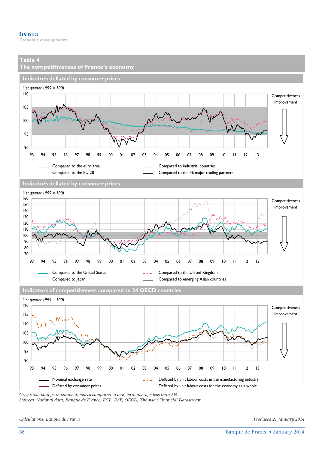

*Grey area: change in competitiveness compared to long-term average less than 5%.* 

*Sources: National data, Banque de France, ECB, IMF, OECD, Thomson Financial Datastream.* 

*Calculations: Banque de France. Produced 21 January 2014*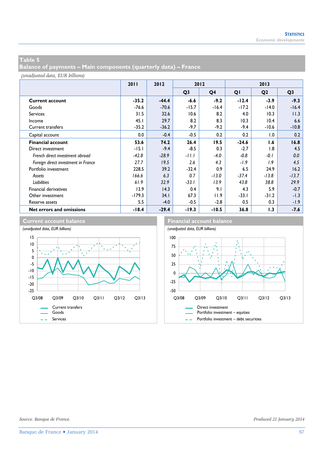**Balance of payments – Main components (quarterly data) – France** 

*(unadjusted data, EUR billions)*

|                                     | 2011     | 2012    | 2012           |                |         | 2013           |                |
|-------------------------------------|----------|---------|----------------|----------------|---------|----------------|----------------|
|                                     |          |         | Q <sub>3</sub> | Q <sub>4</sub> | QI      | Q <sub>2</sub> | Q <sub>3</sub> |
| <b>Current account</b>              | $-35.2$  | $-44.4$ | -6.6           | $-9.2$         | $-12.4$ | $-3.9$         | $-9.3$         |
| Goods                               | $-76.6$  | $-70.6$ | $-15.7$        | $-16.4$        | $-17.2$ | $-14.0$        | $-16.4$        |
| <b>Services</b>                     | 31.5     | 32.6    | 10.6           | 8.2            | 4.0     | 10.3           | 11.3           |
| Income                              | 45.1     | 29.7    | 8.2            | 8.3            | 10.3    | 10.4           | 6.6            |
| <b>Current transfers</b>            | $-35.2$  | $-36.2$ | $-9.7$         | $-9.2$         | -9.4    | $-10.6$        | $-10.8$        |
| Capital account                     | 0.0      | $-0.4$  | $-0.5$         | 0.2            | 0.2     | 1.0            | 0.2            |
| <b>Financial account</b>            | 53.6     | 74.2    | 26.4           | 19.5           | $-24.6$ | 1.6            | 16.8           |
| Direct investment                   | $-15.1$  | $-9.4$  | $-8.5$         | 0.3            | $-2.7$  | 1.8            | 4.5            |
| French direct investment abroad     | $-42.8$  | $-28.9$ | $-11.1$        | -4.0           | $-0.8$  | $-0.1$         | 0.0            |
| Foreign direct investment in France | 27.7     | 19.5    | 2.6            | 4.3            | $-1.9$  | 1.9            | 4.5            |
| Portfolio investment                | 228.5    | 39.2    | $-32.4$        | 0.9            | 6.5     | 24.9           | 16.2           |
| Assets                              | 166.6    | 6.3     | 0.7            | $-13.0$        | $-37.4$ | $-13.8$        | $-13.7$        |
| Liabilities                         | 61.9     | 32.9    | $-33.1$        | 13.9           | 43.8    | 38.8           | 29.9           |
| <b>Financial derivatives</b>        | 13.9     | 14.3    | 0.4            | 9.1            | 4.3     | 5.9            | $-0.7$         |
| Other investment                    | $-179.3$ | 34.1    | 67.3           | <b>11.9</b>    | $-33.1$ | $-31.2$        | $-1.3$         |
| Reserve assets                      | 5.5      | $-4.0$  | $-0.5$         | $-2.8$         | 0.5     | 0.3            | $-1.9$         |
| Net errors and omissions            | $-18.4$  | $-29.4$ | $-19.3$        | $-10.5$        | 36.8    | 1.3            | $-7.6$         |

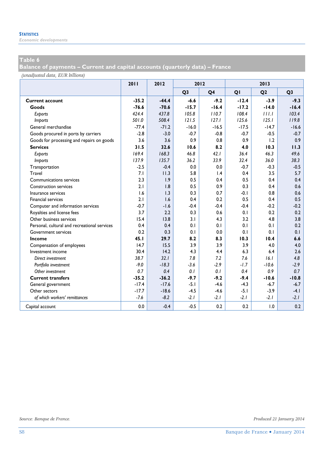*Economic developments* 

### **Table 6**

**Balance of payments – Current and capital accounts (quarterly data) – France** 

*(unadjusted data, EUR billions)*

|                                              | 2011    | 2012    | 2012           |                 |         | 2013           |                |
|----------------------------------------------|---------|---------|----------------|-----------------|---------|----------------|----------------|
|                                              |         |         | Q <sub>3</sub> | Q <sub>4</sub>  | QI      | Q <sub>2</sub> | Q <sub>3</sub> |
| <b>Current account</b>                       | $-35.2$ | $-44.4$ | $-6.6$         | $-9.2$          | $-12.4$ | $-3.9$         | $-9.3$         |
| Goods                                        | $-76.6$ | $-70.6$ | $-15.7$        | $-16.4$         | $-17.2$ | $-14.0$        | $-16.4$        |
| Exports                                      | 424.4   | 437.8   | 105.8          | 110.7           | 108.4   | 111.1          | 103.4          |
| <b>Imports</b>                               | 501.0   | 508.4   | 121.5          | 127.1           | 125.6   | 125.1          | 119.8          |
| General merchandise                          | $-77.4$ | $-71.2$ | $-16.0$        | $-16.5$         | $-17.5$ | $-14.7$        | $-16.6$        |
| Goods procured in ports by carriers          | $-2.8$  | $-3.0$  | $-0.7$         | $-0.8$          | $-0.7$  | $-0.5$         | $-0.7$         |
| Goods for processing and repairs on goods    | 3.6     | 3.6     | 0.9            | 0.8             | 0.9     | 1.2            | 0.9            |
| <b>Services</b>                              | 31.5    | 32.6    | 10.6           | 8.2             | 4.0     | 10.3           | 11.3           |
| Exports                                      | 169.4   | 168.3   | 46.8           | 42.1            | 36.4    | 46.3           | 49.6           |
| <b>Imports</b>                               | 137.9   | 135.7   | 36.2           | 33.9            | 32.4    | 36.0           | 38.3           |
| Transportation                               | $-2.5$  | $-0.4$  | 0.0            | 0.0             | $-0.7$  | $-0.3$         | $-0.5$         |
| Travel                                       | 7.1     | 11.3    | 5.8            | $\mathsf{I}$ .4 | 0.4     | 3.5            | 5.7            |
| Communications services                      | 2.3     | 1.9     | 0.5            | 0.4             | 0.5     | 0.4            | 0.4            |
| <b>Construction services</b>                 | 2.1     | 1.8     | 0.5            | 0.9             | 0.3     | 0.4            | 0.6            |
| Insurance services                           | 1.6     | 1.3     | 0.3            | 0.7             | $-0.1$  | 0.8            | 0.6            |
| <b>Financial services</b>                    | 2.1     | 1.6     | 0.4            | 0.2             | 0.5     | 0.4            | 0.5            |
| Computer and information services            | $-0.7$  | $-1.6$  | $-0.4$         | $-0.4$          | $-0.4$  | $-0.2$         | $-0.2$         |
| Royalties and license fees                   | 3.7     | 2.2     | 0.3            | 0.6             | 0.1     | 0.2            | 0.2            |
| Other business services                      | 15.4    | 13.8    | 3.1            | 4.3             | 3.2     | 4.8            | 3.8            |
| Personal, cultural and recreational services | 0.4     | 0.4     | 0.1            | 0.1             | 0.1     | 0.1            | 0.2            |
| <b>Government services</b>                   | 0.2     | 0.3     | 0.1            | 0.0             | 0.1     | 0.1            | 0.1            |
| Income                                       | 45.1    | 29.7    | 8.2            | 8.3             | 10.3    | 10.4           | 6.6            |
| Compensation of employees                    | 14.7    | 15.5    | 3.9            | 3.9             | 3.9     | 4.0            | 4.0            |
| Investment income                            | 30.4    | 14.2    | 4.3            | 4.4             | 6.3     | 6.4            | 2.6            |
| Direct investment                            | 38.7    | 32.1    | 7.8            | 7.2             | 7.6     | 16.1           | 4.8            |
| Portfolio investment                         | $-9.0$  | $-18.3$ | $-3.6$         | $-2.9$          | $-1.7$  | $-10.6$        | $-2.9$         |
| Other investment                             | 0.7     | 0.4     | 0.1            | 0.1             | 0.4     | 0.9            | 0.7            |
| <b>Current transfers</b>                     | $-35.2$ | $-36.2$ | $-9.7$         | $-9.2$          | $-9.4$  | $-10.6$        | $-10.8$        |
| General government                           | $-17.4$ | $-17.6$ | $-5.1$         | $-4.6$          | $-4.3$  | $-6.7$         | $-6.7$         |
| Other sectors                                | $-17.7$ | $-18.6$ | $-4.5$         | $-4.6$          | $-5.1$  | $-3.9$         | $-4.1$         |
| of which workers' remittances                | $-7.6$  | $-8.2$  | $-2.1$         | $-2.1$          | $-2.1$  | $-2.1$         | $-2.1$         |
| Capital account                              | 0.0     | $-0.4$  | $-0.5$         | 0.2             | 0.2     | 1.0            | 0.2            |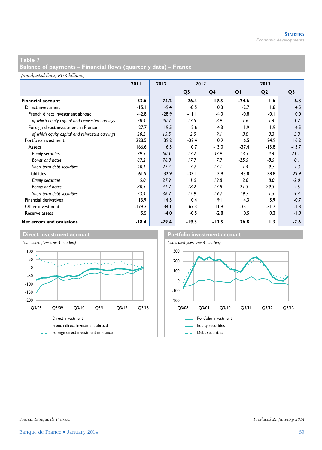**Balance of payments – Financial flows (quarterly data) – France** 

*(unadjusted data, EUR billions)*

|                                                 | 2011     | 2012    | 2012           |                |         | 2013           |                |
|-------------------------------------------------|----------|---------|----------------|----------------|---------|----------------|----------------|
|                                                 |          |         | Q <sub>3</sub> | Q <sub>4</sub> | QI      | Q <sub>2</sub> | Q <sub>3</sub> |
| <b>Financial account</b>                        | 53.6     | 74.2    | 26.4           | 19.5           | $-24.6$ | 1.6            | 16.8           |
| Direct investment                               | $-15.1$  | $-9.4$  | $-8.5$         | 0.3            | $-2.7$  | 1.8            | 4.5            |
| French direct investment abroad                 | $-42.8$  | $-28.9$ | $-11.1$        | $-4.0$         | $-0.8$  | $-0.1$         | 0.0            |
| of which equity capital and reinvested earnings | $-28.4$  | $-40.7$ | $-13.5$        | $-8.9$         | -1.6    | 1.4            | $-1.2$         |
| Foreign direct investment in France             | 27.7     | 19.5    | 2.6            | 4.3            | $-1.9$  | 1.9            | 4.5            |
| of which equity capital and reinvested earnings | 20.2     | 15.5    | 2.0            | 9.1            | 3.8     | 3.3            | 3.3            |
| Portfolio investment                            | 228.5    | 39.2    | $-32.4$        | 0.9            | 6.5     | 24.9           | 16.2           |
| Assets                                          | 166.6    | 6.3     | 0.7            | $-13.0$        | $-37.4$ | $-13.8$        | $-13.7$        |
| Equity securities                               | 39.3     | $-50.1$ | $-13.2$        | $-33.9$        | $-13.3$ | 4.4            | $-21.1$        |
| Bonds and notes                                 | 87.2     | 78.8    | 17.7           | 7.7            | $-25.5$ | $-8.5$         | 0.1            |
| Short-term debt securities                      | 40.1     | $-22.4$ | $-3.7$         | 13.1           | 1.4     | $-9.7$         | 7.3            |
| <b>Liabilities</b>                              | 61.9     | 32.9    | $-33.1$        | 13.9           | 43.8    | 38.8           | 29.9           |
| <b>Equity securities</b>                        | 5.0      | 27.9    | 1.0            | 19.8           | 2.8     | 8.0            | $-2.0$         |
| Bonds and notes                                 | 80.3     | 41.7    | $-18.2$        | 13.8           | 21.3    | 29.3           | 12.5           |
| Short-term debt securities                      | $-23.4$  | $-36.7$ | $-15.9$        | $-19.7$        | 19.7    | 1.5            | 19.4           |
| Financial derivatives                           | 13.9     | 14.3    | 0.4            | 9.1            | 4.3     | 5.9            | $-0.7$         |
| Other investment                                | $-179.3$ | 34.1    | 67.3           | 11.9           | $-33.1$ | $-31.2$        | -1.3           |
| Reserve assets                                  | 5.5      | $-4.0$  | $-0.5$         | $-2.8$         | 0.5     | 0.3            | -1.9           |
| Net errors and omissions                        | $-18.4$  | $-29.4$ | $-19.3$        | $-10.5$        | 36.8    | 1.3            | $-7.6$         |

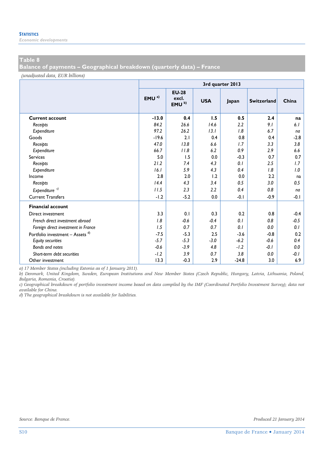*Economic developments* 

#### **Table 8**

**Balance of payments – Geographical breakdown (quarterly data) – France** 

*(unadjusted data, EUR billions)*

|                                             | 3rd quarter 2013 |                                            |            |         |                    |        |  |  |  |  |  |
|---------------------------------------------|------------------|--------------------------------------------|------------|---------|--------------------|--------|--|--|--|--|--|
|                                             | EMU <sup>a</sup> | <b>EU-28</b><br>excl.<br>EMU <sup>b)</sup> | <b>USA</b> | Japan   | <b>Switzerland</b> | China  |  |  |  |  |  |
| <b>Current account</b>                      | $-13.0$          | 0.4                                        | 1.5        | 0.5     | 2.4                | na     |  |  |  |  |  |
| Receipts                                    | 84.2             | 26.6                                       | 14.6       | 2.2     | 9.1                | 6.1    |  |  |  |  |  |
| Expenditure                                 | 97.2             | 26.2                                       | 13.1       | 1.8     | 6.7                | na     |  |  |  |  |  |
| Goods                                       | $-19.6$          | 2.1                                        | 0.4        | 0.8     | 0.4                | $-2.8$ |  |  |  |  |  |
| Receipts                                    | 47.0             | 13.8                                       | 6.6        | 1.7     | 3.3                | 3.8    |  |  |  |  |  |
| Expenditure                                 | 66.7             | 11.8                                       | 6.2        | 0.9     | 2.9                | 6.6    |  |  |  |  |  |
| <b>Services</b>                             | 5.0              | 1.5                                        | 0.0        | $-0.3$  | 0.7                | 0.7    |  |  |  |  |  |
| Receipts                                    | 21.2             | 7.4                                        | 4.3        | 0.1     | 2.5                | 1.7    |  |  |  |  |  |
| Expenditure                                 | 16.1             | 5.9                                        | 4.3        | 0.4     | 1.8                | 1.0    |  |  |  |  |  |
| Income                                      | 2.8              | 2.0                                        | 1.2        | 0.0     | 2.2                | na     |  |  |  |  |  |
| Receipts                                    | 14.4             | 4.3                                        | 3.4        | 0.5     | 3.0                | 0.5    |  |  |  |  |  |
| Expenditure <sup>c)</sup>                   | 11.5             | 2.3                                        | 2.2        | 0.4     | 0.8                | na     |  |  |  |  |  |
| <b>Current Transfers</b>                    | $-1.2$           | $-5.2$                                     | 0.0        | $-0.1$  | $-0.9$             | $-0.1$ |  |  |  |  |  |
| <b>Financial account</b>                    |                  |                                            |            |         |                    |        |  |  |  |  |  |
| Direct investment                           | 3.3              | 0.1                                        | 0.3        | 0.2     | 0.8                | $-0.4$ |  |  |  |  |  |
| French direct investment abroad             | 1.8              | $-0.6$                                     | $-0.4$     | 0.1     | 0.8                | $-0.5$ |  |  |  |  |  |
| Foreign direct investment in France         | 1.5              | 0.7                                        | 0.7        | 0.1     | 0.0                | 0.1    |  |  |  |  |  |
| Portfolio investment - Assets <sup>d)</sup> | $-7.5$           | $-5.3$                                     | 2.5        | $-3.6$  | $-0.8$             | 0.2    |  |  |  |  |  |
| <b>Equity securities</b>                    | $-5.7$           | $-5.3$                                     | $-3.0$     | $-6.2$  | $-0.6$             | 0.4    |  |  |  |  |  |
| <b>Bonds and notes</b>                      | $-0.6$           | $-3.9$                                     | 4.8        | $-1.2$  | $-0.1$             | 0.0    |  |  |  |  |  |
| Short-term debt securities                  | $-1.2$           | 3.9                                        | 0.7        | 3.8     | 0.0                | $-0.1$ |  |  |  |  |  |
| Other investment                            | 13.3             | $-0.3$                                     | 2.9        | $-24.8$ | 3.0                | 6.9    |  |  |  |  |  |

*a) 17 Member States (including Estonia as of 1 January 2011).* 

*b) Denmark, United Kingdom, Sweden, European Institutions and New Member States (Czech Republic, Hungary, Latvia, Lithuania, Poland, Bulgaria, Romania, Croatia).* 

*c) Geographical breakdown of portfolio investment income based on data compiled by the IMF (Coordinated Portfolio Investment Survey); data not available for China.* 

*d) The geographical breakdown is not available for liabilities.*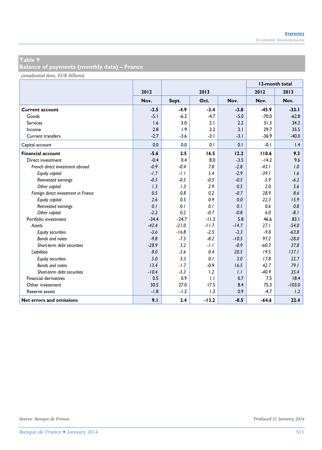**Balance of payments (monthly data) – France** 

*(unadjusted data, EUR billions)*

|                                     |         |         |         |         | 12-month total |                 |
|-------------------------------------|---------|---------|---------|---------|----------------|-----------------|
|                                     | 2012    |         | 2013    |         | 2012           | 2013            |
|                                     | Nov.    | Sept.   | Oct.    | Nov.    | Nov.           | Nov.            |
| <b>Current account</b>              | $-3.5$  | $-4.9$  | $-3.4$  | $-3.8$  | $-45.9$        | $-33.1$         |
| Goods                               | $-5.1$  | $-6.2$  | $-4.7$  | $-5.0$  | $-70.0$        | $-62.8$         |
| <b>Services</b>                     | 1.6     | 3.0     | 2.1     | 2.2     | 31.3           | 34.2            |
| Income                              | 2.8     | 1.9     | 2.2     | 2.1     | 29.7           | 35.5            |
| <b>Current transfers</b>            | $-2.7$  | $-3.6$  | $-3.1$  | $-3.1$  | $-36.9$        | $-40.0$         |
| Capital account                     | 0.0     | 0.0     | 0.1     | 0.1     | $-0.1$         | $\mathsf{I}$ .4 |
| <b>Financial account</b>            | $-5.6$  | 2.5     | 16.5    | 12.2    | 110.6          | 9.3             |
| Direct investment                   | $-0.4$  | 0.4     | 8.0     | $-3.5$  | $-14.2$        | 9.6             |
| French direct investment abroad     | $-0.9$  | $-0.4$  | 7.8     | $-2.8$  | $-43.1$        | 1.0             |
| Equity capital                      | $-1.7$  | $-1.1$  | 5.4     | $-2.9$  | $-39.1$        | 1.6             |
| Reinvested earnings                 | $-0.5$  | $-0.5$  | $-0.5$  | $-0.5$  | $-5.9$         | $-6.2$          |
| Other capital                       | 1.3     | 1.3     | 2.9     | 0.5     | 2.0            | 5.6             |
| Foreign direct investment in France | 0.5     | 0.8     | 0.2     | $-0.7$  | 28.9           | 8.6             |
| Equity capital                      | 2.6     | 0.5     | 0.9     | 0.0     | 22.3           | 15.9            |
| Reinvested earnings                 | 0.1     | 0.1     | 0.1     | 0.1     | 0.6            | 0.8             |
| Other capital                       | $-2.2$  | 0.2     | $-0.7$  | $-0.8$  | 6.0            | $-8.1$          |
| Portfolio investment                | $-34.4$ | $-24.7$ | $-11.3$ | 5.8     | 46.6           | 83.1            |
| Assets                              | $-42.4$ | $-21.0$ | $-11.7$ | $-14.7$ | 27.1           | $-54.0$         |
| <b>Equity securities</b>            | $-3.6$  | $-16.8$ | $-2.5$  | $-3.3$  | $-9.8$         | $-63.8$         |
| <b>Bonds and notes</b>              | $-9.8$  | $-7.5$  | $-8.2$  | $-10.5$ | 97.2           | $-28.0$         |
| Short-term debt securities          | $-28.9$ | 3.2     | $-1.1$  | $-0.9$  | $-60.3$        | 37.8            |
| Liabilities                         | 8.0     | $-3.6$  | 0.4     | 20.5    | 19.5           | 137.1           |
| <b>Equity securities</b>            | 5.0     | 3.3     | 0.1     | 3.0     | 17.8           | 22.7            |
| <b>Bonds and notes</b>              | 13.4    | $-1.7$  | $-0.9$  | 16.5    | 42.7           | 79.1            |
| Short-term debt securities          | $-10.4$ | $-5.3$  | 1.2     | 1.1     | $-40.9$        | 35.4            |
| Financial derivatives               | 0.5     | 0.9     | 1.1     | 0.7     | 7.5            | 18.4            |
| Other investment                    | 30.5    | 27.0    | 17.5    | 8.4     | 75.3           | $-103.0$        |
| Reserve assets                      | $-1.8$  | $-1.2$  | 1.2     | 0.9     | $-4.7$         | 1.2             |
| Net errors and omissions            | 9.1     | 2.4     | $-13.2$ | $-8.5$  | $-64.6$        | 22.4            |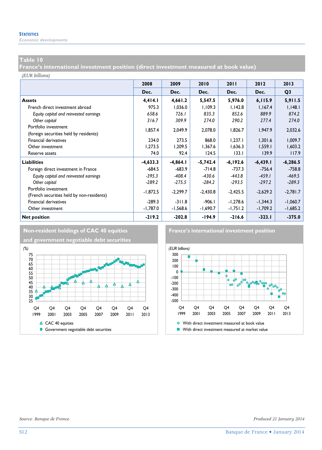*Economic developments* 

#### **Table 10**

**France's international investment position (direct investment measured at book value)** 

*(EUR billions)*

|                                           | 2008       | 2009       | 2010       | 2011        | 2012       | 2013           |
|-------------------------------------------|------------|------------|------------|-------------|------------|----------------|
|                                           | Dec.       | Dec.       | Dec.       | Dec.        | Dec.       | Q <sub>3</sub> |
| <b>Assets</b>                             | 4,414.1    | 4,661.2    | 5,547.5    | 5,976.0     | 6,115.9    | 5,911.5        |
| French direct investment abroad           | 975.3      | 1,036.0    | 1,109.3    | 1,142.8     | 1,167.4    | 1,148.1        |
| Equity capital and reinvested earnings    | 658.6      | 726.1      | 835.3      | 852.6       | 889.9      | 874.2          |
| Other capital                             | 316.7      | 309.9      | 274.0      | 290.2       | 277.4      | 274.0          |
| Portfolio investment                      | 1,857.4    | 2,049.9    | 2,078.0    | 1,826.7     | 1,947.9    | 2,032.6        |
| (foreign securities held by residents)    |            |            |            |             |            |                |
| Financial derivatives                     | 234.0      | 273.5      | 868.0      | 1,237.1     | 1,301.6    | 1,009.7        |
| Other investment                          | 1,273.5    | 1,209.5    | 1,367.6    | 1,636.3     | 1,559.1    | 1,603.2        |
| Reserve assets                            | 74.0       | 92.4       | 124.5      | 133.1       | 139.9      | 117.9          |
| <b>Liabilities</b>                        | $-4,633.3$ | $-4,864.1$ | $-5,742.4$ | $-6, 192.6$ | $-6,439.1$ | $-6,286.5$     |
| Foreign direct investment in France       | $-684.5$   | $-683.9$   | $-714.8$   | $-737.3$    | $-756.4$   | $-758.8$       |
| Equity capital and reinvested earnings    | $-395.3$   | $-408.4$   | $-430.6$   | $-443.8$    | $-459.1$   | $-469.5$       |
| Other capital                             | $-289.2$   | $-275.5$   | $-284.2$   | $-293.5$    | $-297.2$   | $-289.3$       |
| Portfolio investment                      | $-1,872.5$ | $-2,299.7$ | $-2,430.8$ | $-2,425.5$  | $-2,629.2$ | $-2,781.7$     |
| (French securities held by non-residents) |            |            |            |             |            |                |
| <b>Financial derivatives</b>              | $-289.3$   | $-311.8$   | $-906.1$   | $-1,278.6$  | $-1.344.3$ | $-1,060.7$     |
| Other investment                          | $-1,787.0$ | $-1,568.6$ | -1,690.7   | $-1,751.2$  | $-1,709.2$ | $-1,685.2$     |
| <b>Net position</b>                       | $-219.2$   | $-202.8$   | $-194.9$   | $-216.6$    | $-323.1$   | $-375.0$       |



**and government negotiable debt securities**



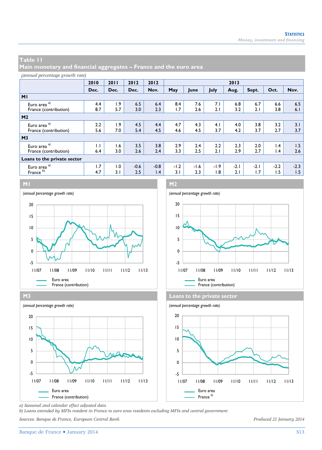**Main monetary and financial aggregates – France and the euro area** 

#### *(annual percentage growth rate)* **2010 2011 2012 2012 2013 Dec.** | Dec. | Dec. | Nov. | May | June | July | Aug. | Sept. | Oct. | Nov. **M1** Euro area <sup>a)</sup> 1.9 **4.4** 1.9 6.5 6.4 8.4 7.6 7.1 6.8 6.7 6.6 6.5 France (contribution) 8.7 5.7 3.0 2.3 1.7 2.6 2.1 3.2 2.1 3.8 6.1 **M2** Euro area <sup>a)</sup> 2.2 1.9 4.5 4.4 4.7 4.3 4.1 4.0 3.8 3.2 3.1 France (contribution) 5.6 7.0 5.4 4.5 4.6 4.5 3.7 4.2 3.7 2.7 3.7 **M3** Euro area <sup>a)</sup> 1.1 1.6 3.5 3.8 2.9 2.4 2.2 2.3 2.0 1.4 1.5 France (contribution) 6.4 3.0 2.6 2.4 3.3 2.5 2.1 2.9 2.7 1.4 2.6 **Loans to the private sector** Euro area <sup>a)</sup> 1.7 | 1.0 | -0.6 | -0.8 | -1.2 | -1.6 | -1.9 | -2.1 | -2.1 | -2.2 | -2.3 France <sup>b</sup> 4.7 3.1 2.5 1.4 3.1 2.3 1.8 2.1 1.7 1.5 1.5



**M3 Loans to the private sector** *(annual percentage growth rate) (annual percentage growth rate)* Euro area Euro area France (contribution) France b) France b) France b) -5 0 5 10 15 20 11/07 11/08 11/09 11/10 11/11 11/12 11/13





*a) Seasonal and calendar effect adjusted data.* 

*b) Loans extended by MFIs resident in France to euro area residents excluding MFIs and central government.* 

*Sources: Banque de France, European Central Bank. Produced 21 January 2014*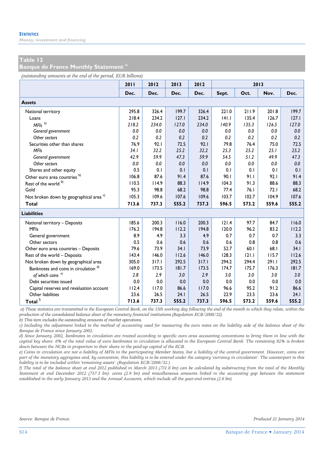*Money, investment and financing* 

#### **Table 12**

**Banque de France Monthly Statement a)**

*(outstanding amounts at the end of the period, EUR billions)*

|                                                    | 2011  | 2012  | 2013  | 2012  |       | 2013  |       |       |
|----------------------------------------------------|-------|-------|-------|-------|-------|-------|-------|-------|
|                                                    | Dec.  | Dec.  | Dec.  | Dec.  | Sept. | Oct.  | Nov.  | Dec.  |
| <b>Assets</b>                                      |       |       |       |       |       |       |       |       |
| National territory                                 | 295.8 | 326.4 | 199.7 | 326.4 | 221.0 | 211.9 | 201.8 | 199.7 |
| Loans                                              | 218.4 | 234.2 | 127.1 | 234.2 | 141.1 | 135.4 | 126.7 | 127.1 |
| $MFIs$ <sup>b)</sup>                               | 218.2 | 234.0 | 127.0 | 234.0 | 140.9 | 135.3 | 126.5 | 127.0 |
| General government                                 | 0.0   | 0.0   | 0.0   | 0.0   | 0.0   | 0.0   | 0.0   | 0.0   |
| Other sectors                                      | 0.2   | 0.2   | 0.2   | 0.2   | 0.2   | 0.2   | 0.2   | 0.2   |
| Securities other than shares                       | 76.9  | 92.1  | 72.5  | 92.1  | 79.8  | 76.4  | 75.0  | 72.5  |
| <b>MFIs</b>                                        | 34.1  | 32.2  | 25.2  | 32.2  | 25.3  | 25.2  | 25.1  | 25.2  |
| General government                                 | 42.9  | 59.9  | 47.3  | 59.9  | 54.5  | 51.2  | 49.9  | 47.3  |
| Other sectors                                      | 0.0   | 0.0   | 0.0   | 0.0   | 0.0   | 0.0   | 0.0   | 0.0   |
| Shares and other equity                            | 0.5   | 0.1   | 0.1   | 0.1   | 0.1   | 0.1   | 0.1   | 0.1   |
| Other euro area countries b)                       | 106.8 | 87.6  | 91.4  | 87.6  | 90.1  | 91.1  | 92.1  | 91.4  |
| Rest of the world b)                               | 110.5 | 114.9 | 88.3  | 114.9 | 104.3 | 91.3  | 88.6  | 88.3  |
| Gold                                               | 95.3  | 98.8  | 68.2  | 98.8  | 77.4  | 76.1  | 72.1  | 68.2  |
| Not broken down by geographical area <sup>c)</sup> | 105.3 | 109.6 | 107.6 | 109.6 | 103.7 | 102.7 | 104.9 | 107.6 |
| <b>Total</b>                                       | 713.6 | 737.3 | 555.2 | 737.3 | 596.5 | 573.2 | 559.6 | 555.2 |
| <b>Liabilities</b>                                 |       |       |       |       |       |       |       |       |
| National territory - Deposits                      | 185.6 | 200.3 | 116.0 | 200.3 | 121.4 | 97.7  | 84.7  | 116.0 |
| <b>MFIs</b>                                        | 176.2 | 194.8 | 112.2 | 194.8 | 120.0 | 96.2  | 83.2  | 112.2 |
| General government                                 | 8.9   | 4.9   | 3.3   | 4.9   | 0.7   | 0.7   | 0.7   | 3.3   |
| Other sectors                                      | 0.5   | 0.6   | 0.6   | 0.6   | 0.6   | 0.8   | 0.8   | 0.6   |
| Other euro area countries - Deposits               | 79.6  | 73.9  | 34.1  | 73.9  | 52.7  | 60.1  | 68.I  | 34.1  |
| Rest of the world - Deposits                       | 143.4 | 146.0 | 112.6 | 146.0 | 128.3 | 121.1 | 115.7 | 112.6 |
| Not broken down by geographical area               | 305.0 | 317.1 | 292.5 | 317.1 | 294.2 | 294.4 | 291.I | 292.5 |
| Banknotes and coins in circulation d)              | 169.0 | 173.5 | 181.7 | 173.5 | 174.7 | 175.7 | 176.3 | 181.7 |
| of which coins $e^{i}$                             | 2.8   | 2.9   | 3.0   | 2.9   | 3.0   | 3.0   | 3.0   | 3.0   |
| Debt securities issued                             | 0.0   | 0.0   | 0.0   | 0.0   | 0.0   | 0.0   | 0.0   | 0.0   |
| Capital reserves and revaluation account           | 112.4 | 117.0 | 86.6  | 117.0 | 96.6  | 95.2  | 91.2  | 86.6  |
| Other liabilities                                  | 23.6  | 26.5  | 24.1  | 26.5  | 22.9  | 23.5  | 23.6  | 24.1  |
| Total $\frac{f}{f}$                                | 713.6 | 737.3 | 555.2 | 737.3 | 596.5 | 573.2 | 559.6 | 555.2 |

 *a) These statistics are transmitted to the European Central Bank, on the 15th working day following the end of the month to which they relate, within the production of the consolidated balance sheet of the monetary financial institutions (Regulation ECB/2008/32).* 

*b) This item includes the outstanding amounts of market operations.* 

*c) Including the adjustment linked to the method of accounting used for measuring the euro notes on the liability side of the balance sheet of the Banque de France since January 2002.* 

*d) Since January 2002, banknotes in circulation are treated according to specific euro area accounting conventions to bring them in line with the capital key share. 8% of the total value of euro banknotes in circulation is allocated to the European Central Bank. The remaining 92% is broken down between the NCBs in proportion to their share in the paid-up capital of the ECB.* 

*e) Coins in circulation are not a liability of MFIs in the participating Member States, but a liability of the central government. However, coins are part of the monetary aggregates and, by convention, this liability is to be entered under the category 'currency in circulation'. The counterpart to this liability is to be included within 'remaining assets'. (Regulation ECB/2008/32.)* 

*f) The total of the balance sheet at end 2012 published in March 2013 (731.8 bn) can be calculated by substracting from the total of the Monthly Statement at end December 2012 (737.3 bn): coins (2.9 bn) and miscellaneous amounts linked to the accounting gap between the statement established in the early January 2013 and the Annual Accounts, which include all the year-end entries (2.6 bn).*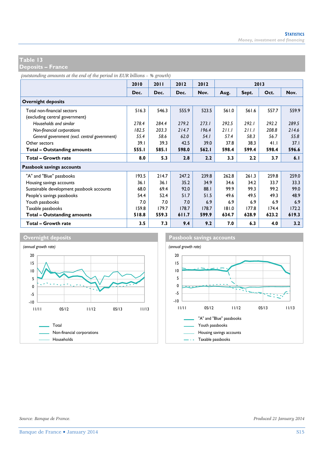**Deposits – France** 

*(outstanding amounts at the end of the period in EUR billions – % growth)*

|                                               | 2010  | 2011  | 2012  | 2012  | 2013  |       |       |       |
|-----------------------------------------------|-------|-------|-------|-------|-------|-------|-------|-------|
|                                               | Dec.  | Dec.  | Dec.  | Nov.  | Aug.  | Sept. | Oct.  | Nov.  |
| <b>Overnight deposits</b>                     |       |       |       |       |       |       |       |       |
| Total non-financial sectors                   | 516.3 | 546.3 | 555.9 | 523.5 | 561.0 | 561.6 | 557.7 | 559.9 |
| (excluding central government)                |       |       |       |       |       |       |       |       |
| Households and similar                        | 278.4 | 284.4 | 279.2 | 273.1 | 292.5 | 292.1 | 292.2 | 289.5 |
| Non-financial corporations                    | 182.5 | 203.3 | 214.7 | 196.4 | 211.1 | 211.1 | 208.8 | 214.6 |
| General government (excl. central government) | 55.4  | 58.6  | 62.0  | 54.1  | 57.4  | 58.3  | 56.7  | 55.8  |
| Other sectors                                 | 39.1  | 39.3  | 42.5  | 39.0  | 37.8  | 38.3  | 41.1  | 37.1  |
| <b>Total - Outstanding amounts</b>            | 555.1 | 585.I | 598.0 | 562.1 | 598.4 | 599.4 | 598.4 | 596.6 |
| <b>Total - Growth rate</b>                    | 8.0   | 5.3   | 2.8   | 2.2   | 3.3   | 2.2   | 3.7   | 6.1   |
| Passbook savings accounts                     |       |       |       |       |       |       |       |       |
| "A" and "Blue" passbooks                      | 193.5 | 214.7 | 247.2 | 239.8 | 262.8 | 261.3 | 259.8 | 259.0 |
| Housing savings accounts                      | 36.1  | 36.1  | 35.2  | 34.9  | 34.6  | 34.2  | 33.7  | 33.3  |
| Sustainable development passbook accounts     | 68.0  | 69.4  | 92.0  | 88.1  | 99.9  | 99.3  | 99.2  | 99.0  |
| People's savings passbooks                    | 54.4  | 52.4  | 51.7  | 51.5  | 49.6  | 49.5  | 49.3  | 48.9  |
| Youth passbooks                               | 7.0   | 7.0   | 7.0   | 6.9   | 6.9   | 6.9   | 6.9   | 6.9   |
| Taxable passbooks                             | 159.8 | 179.7 | 178.7 | 178.7 | 181.0 | 177.8 | 174.4 | 172.2 |
| <b>Total - Outstanding amounts</b>            | 518.8 | 559.3 | 611.7 | 599.9 | 634.7 | 628.9 | 623.2 | 619.3 |
| Total - Growth rate                           | 3.5   | 7.3   | 9.4   | 9.2   | 7.0   | 6.3   | 4.0   | 3.2   |



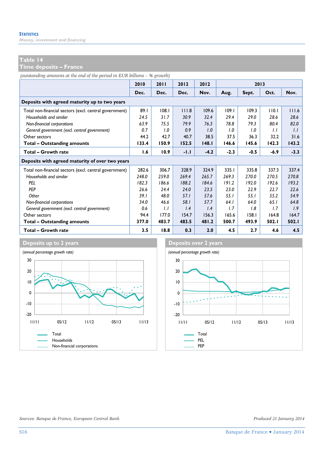*Money, investment and financing* 

#### **Table 14**

**Time deposits – France** 

*(outstanding amounts at the end of the period in EUR billions – % growth)*

|                                                        | 2010  | 2011  | 2012   | 2012   |        | 2013   |       |        |
|--------------------------------------------------------|-------|-------|--------|--------|--------|--------|-------|--------|
|                                                        | Dec.  | Dec.  | Dec.   | Nov.   | Aug.   | Sept.  | Oct.  | Nov.   |
| Deposits with agreed maturity up to two years          |       |       |        |        |        |        |       |        |
| Total non-financial sectors (excl. central government) | 89.1  | 108.1 | 111.8  | 109.6  | 109.1  | 109.3  | 110.1 | 111.6  |
| Households and similar                                 | 24.5  | 31.7  | 30.9   | 32.4   | 29.4   | 29.0   | 28.6  | 28.6   |
| Non-financial corporations                             | 63.9  | 75.5  | 79.9   | 76.3   | 78.8   | 79.3   | 80.4  | 82.0   |
| General government (excl. central government)          | 0.7   | 1.0   | 0.9    | 1.0    | 1.0    | 1.0    | 1.1   | 1.1    |
| Other sectors                                          | 44.2  | 42.7  | 40.7   | 38.5   | 37.5   | 36.3   | 32.2  | 31.6   |
| <b>Total - Outstanding amounts</b>                     | 133.4 | 150.9 | 152.5  | 148.1  | 146.6  | 145.6  | 142.3 | 143.2  |
| Total - Growth rate                                    | 1.6   | 10.9  | $-1.1$ | $-4.2$ | $-2.3$ | $-0.5$ | -6.9  | $-3.3$ |
| Deposits with agreed maturity of over two years        |       |       |        |        |        |        |       |        |
| Total non-financial sectors (excl. central government) | 282.6 | 306.7 | 328.9  | 324.9  | 335.1  | 335.8  | 337.3 | 337.4  |
| Households and similar                                 | 248.0 | 259.0 | 269.4  | 265.7  | 269.3  | 270.0  | 270.5 | 270.8  |
| PEL                                                    | 182.3 | 186.6 | 188.2  | 184.6  | 191.2  | 192.0  | 192.6 | 193.2  |
| <b>PEP</b>                                             | 26.6  | 24.4  | 24.0   | 23.5   | 23.0   | 22.9   | 22.7  | 22.6   |
| Other                                                  | 39.1  | 48.0  | 57.1   | 57.6   | 55.1   | 55.1   | 55.2  | 54.9   |
| Non-financial corporations                             | 34.0  | 46.6  | 58.1   | 57.7   | 64.1   | 64.0   | 65.1  | 64.8   |
| General government (excl. central government)          | 0.6   | 1.1   | 1.4    | 1.4    | 1.7    | 1.8    | 1.7   | 1.9    |
| Other sectors                                          | 94.4  | 177.0 | 154.7  | 156.3  | 165.6  | 158.1  | 164.8 | 164.7  |
| Total - Outstanding amounts                            | 377.0 | 483.7 | 483.5  | 481.2  | 500.7  | 493.9  | 502.I | 502.1  |
| Total - Growth rate                                    | 3.5   | 18.8  | 0.3    | 2.0    | 4.5    | 2.7    | 4.6   | 4.5    |



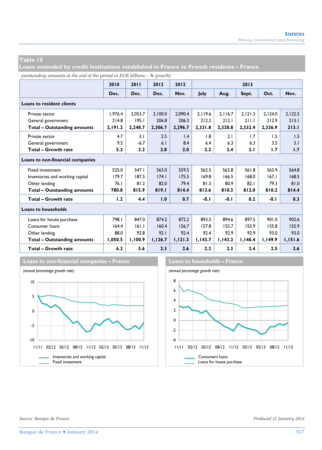**Loans extended by credit institutions established in France to French residents – France** 

*(outstanding amounts at the end of the period in EUR billions – % growth)*

|                                    | 2010    | 2011             | 2012    | 2012    |         |         | 2013    |         |         |
|------------------------------------|---------|------------------|---------|---------|---------|---------|---------|---------|---------|
|                                    | Dec.    | Dec.             | Dec.    | Nov.    | July    | Aug.    | Sept.   | Oct.    | Nov.    |
| <b>Loans to resident clients</b>   |         |                  |         |         |         |         |         |         |         |
| Private sector                     | 1,976.4 | 2,053.7          | 2,100.0 | 2,090.4 | 2,119.6 | 2,116.7 | 2,121.3 | 2,124.0 | 2,122.5 |
| General government                 | 214.8   | 195.1            | 206.8   | 206.3   | 212.2   | 212.1   | 211.1   | 212.9   | 213.1   |
| <b>Total - Outstanding amounts</b> | 2,191.2 | 2,248.7          | 2,306.7 | 2,296.7 | 2,331.8 | 2,328.8 | 2,332.4 | 2,336.9 | 213.1   |
| Private sector                     | 4.7     | 3.1              | 2.5     | 1.4     | 1.8     | 2.1     | 1.7     | 1.5     | 1.5     |
| General government                 | 9.5     | $-6.7$           | 6.1     | 8.4     | 6.4     | 6.3     | 6.3     | 3.5     | 3.1     |
| Total - Growth rate                | 5.2     | $2.2\phantom{0}$ | 2.8     | 2.0     | 2.2     | 2.4     | 2.1     | 1.7     | 1.7     |
| Loans to non-financial companies   |         |                  |         |         |         |         |         |         |         |
| <b>Fixed investment</b>            | 525.0   | 547.I            | 563.0   | 559.5   | 562.5   | 562.8   | 561.8   | 563.9   | 564.8   |
| Inventories and working capital    | 179.7   | 187.5            | 174.1   | 175.5   | 169.8   | 166.5   | 168.0   | 167.1   | 168.5   |
| Other lending                      | 76.1    | 81.2             | 82.0    | 79.4    | 81.3    | 80.9    | 82.1    | 79.3    | 81.0    |
| <b>Total - Outstanding amounts</b> | 780.8   | 815.9            | 819.1   | 814.4   | 813.6   | 810.3   | 812.0   | 810.2   | 814.4   |
| Total - Growth rate                | 1.2     | 4.4              | 1.0     | 0.7     | $-0.1$  | $-0.1$  | 0.2     | $-0.1$  | 0.3     |
| <b>Loans to households</b>         |         |                  |         |         |         |         |         |         |         |
| Loans for house purchase           | 798.I   | 847.0            | 874.2   | 872.2   | 893.5   | 894.6   | 897.5   | 901.0   | 902.6   |
| Consumer loans                     | 164.4   | 161.1            | 160.4   | 156.7   | 157.8   | 155.7   | 155.9   | 155.8   | 155.9   |
| Other lending                      | 88.0    | 92.8             | 92.1    | 92.4    | 92.4    | 92.9    | 92.9    | 93.0    | 93.0    |
| <b>Total - Outstanding amounts</b> | 1,050.5 | 1,100.9          | 1,126.7 | 1,121.3 | 1,143.7 | 1,143.2 | 1,146.4 | 1,149.9 | 1,151.6 |
| Total - Growth rate                | 6.2     | 5.6              | 2.3     | 2.6     | 2.2     | 2.3     | 2.4     | 2.5     | 2.6     |



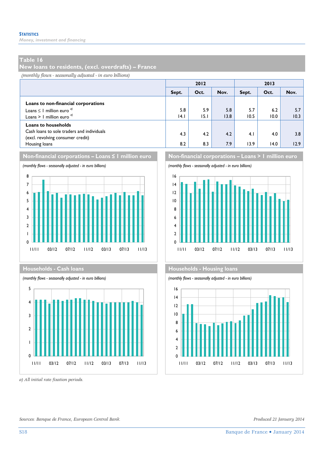*Money, investment and financing* 

#### **Table 16**

**New loans to residents, (excl. overdrafts) – France** 

*(monthly flows - seasonally adjusted - in euro billions)*

|                                                                                 |       | 2012 |      | 2013  |      |      |  |
|---------------------------------------------------------------------------------|-------|------|------|-------|------|------|--|
|                                                                                 | Sept. | Oct. | Nov. | Sept. | Oct. | Nov. |  |
| Loans to non-financial corporations                                             |       |      |      |       |      |      |  |
| Loans $\leq$ 1 million euro <sup><math>q</math></sup>                           | 5.8   | 5.9  | 5.8  | 5.7   | 6.2  | 5.7  |  |
| Loans $>1$ million euro <sup><math>q</math>)</sup>                              | 4.1   | 15.1 | 13.8 | 10.5  | 10.0 | 10.3 |  |
| <b>Loans to households</b>                                                      |       |      |      |       |      |      |  |
| Cash loans to sole traders and individuals<br>(excl. revolving consumer credit) | 4.3   | 4.2  | 4.2  | 4.1   | 4.0  | 3.8  |  |
| Housing loans                                                                   | 8.2   | 8.3  | 7.9  | 13.9  | 14.0 | 12.9 |  |







*a) All initial rate fixation periods.* 



#### **Households - Cash loans Households - Households - Housing loans**



*Sources: Banque de France, European Central Bank. Produced 21 January 2014*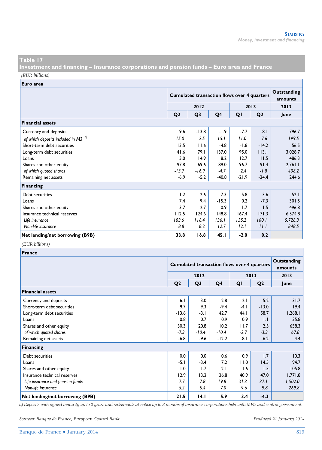**Investment and financing – Insurance corporations and pension funds – Euro area and France**  *(EUR billions)*

**Euro area**

| -urvurcu                                       |                |                                                    |                        |         |                |         |
|------------------------------------------------|----------------|----------------------------------------------------|------------------------|---------|----------------|---------|
|                                                |                | <b>Cumulated transaction flows over 4 quarters</b> | Outstanding<br>amounts |         |                |         |
|                                                |                | 2012<br>2013                                       |                        |         |                |         |
|                                                | Q <sub>2</sub> | Q <sub>3</sub>                                     | Q4                     | QI      | Q <sub>2</sub> | lune    |
| <b>Financial assets</b>                        |                |                                                    |                        |         |                |         |
| Currency and deposits                          | 9.6            | $-13.8$                                            | $-1.9$                 | $-7.7$  | $-8.1$         | 796.7   |
| of which deposits included in M3 <sup>a)</sup> | 15.0           | 2.5                                                | 15.1                   | 11.0    | 7.6            | 199.5   |
| Short-term debt securities                     | 13.5           | 11.6                                               | $-4.8$                 | $-1.8$  | $-14.2$        | 56.5    |
| Long-term debt securities                      | 41.6           | 79.I                                               | 137.0                  | 95.0    | 113.1          | 3,028.7 |
| Loans                                          | 3.0            | 14.9                                               | 8.2                    | 12.7    | 11.5           | 486.3   |
| Shares and other equity                        | 97.8           | 69.6                                               | 89.0                   | 96.7    | 91.4           | 2,761.1 |
| of which quoted shares                         | $-13.7$        | $-16.9$                                            | $-4.7$                 | 2.4     | $-1.8$         | 408.2   |
| Remaining net assets                           | $-6.9$         | $-5.2$                                             | $-40.8$                | $-21.9$ | $-24.4$        | 244.6   |
| <b>Financing</b>                               |                |                                                    |                        |         |                |         |
| Debt securities                                | 1.2            | 2.6                                                | 7.3                    | 5.8     | 3.6            | 52.1    |
| Loans                                          | 7.4            | 9.4                                                | $-15.3$                | 0.2     | $-7.3$         | 301.5   |
| Shares and other equity                        | 3.7            | 2.7                                                | 0.9                    | 1.7     | 1.5            | 496.8   |
| Insurance technical reserves                   | 112.5          | 124.6                                              | 148.8                  | 167.4   | 171.3          | 6,574.8 |
| Life insurance                                 | 103.6          | 116.4                                              | 136.1                  | 155.2   | 160.1          | 5,726.3 |
| Non-life insurance                             | 8.8            | 8.2                                                | 12.7                   | 12.1    | 11.1           | 848.5   |
| Net lending/net borrowing (B9B)                | 33.8           | 16.8                                               | 45.1                   | $-2.0$  | 0.2            |         |

#### *(EUR billions)*

| France                           |                |                                                    |                        |        |                |         |
|----------------------------------|----------------|----------------------------------------------------|------------------------|--------|----------------|---------|
|                                  |                | <b>Cumulated transaction flows over 4 quarters</b> | Outstanding<br>amounts |        |                |         |
|                                  | 2012           |                                                    |                        |        | 2013           | 2013    |
|                                  | Q <sub>2</sub> | Q <sub>3</sub>                                     | Q4                     | QI     | Q <sub>2</sub> | June    |
| <b>Financial assets</b>          |                |                                                    |                        |        |                |         |
| Currency and deposits            | 6.1            | 3.0                                                | 2.8                    | 2.1    | 5.2            | 31.7    |
| Short-term debt securities       | 9.7            | 9.3                                                | $-9.4$                 | $-4.1$ | $-13.0$        | 19.4    |
| Long-term debt securities        | $-13.6$        | $-3.1$                                             | 42.7                   | 44.1   | 58.7           | 1,268.1 |
| Loans                            | 0.8            | 0.7                                                | 0.9                    | 0.9    | $\mathbf{L}$   | 35.8    |
| Shares and other equity          | 30.3           | 20.8                                               | 10.2                   | 11.7   | 2.5            | 658.3   |
| of which quoted shares           | $-7.3$         | $-10.4$                                            | $-10.4$                | $-2.7$ | $-3.3$         | 67.8    |
| Remaining net assets             | $-6.8$         | $-9.6$                                             | $-12.2$                | -8.1   | $-6.2$         | 4.4     |
| Financing                        |                |                                                    |                        |        |                |         |
| Debt securities                  | 0.0            | 0.0                                                | 0.6                    | 0.9    | 1.7            | 10.3    |
| Loans                            | -5.1           | $-3.4$                                             | 7.2                    | 11.0   | 14.5           | 94.7    |
| Shares and other equity          | 1.0            | 1.7                                                | 2.1                    | 1.6    | 1.5            | 105.8   |
| Insurance technical reserves     | 12.9           | 13.2                                               | 26.8                   | 40.9   | 47.0           | 1,771.8 |
| Life insurance and pension funds | 7.7            | 7.8                                                | 19.8                   | 31.3   | 37.1           | 1,502.0 |
| Non-life insurance               | 5.2            | 5.4                                                | 7.0                    | 9.6    | 9.8            | 269.8   |
| Net lending/net borrowing (B9B)  | 21.5           | 14.1                                               | 5.9                    | 3.4    | $-4.3$         |         |

*a) Deposits with agreed maturity up to 2 years and redeemable at notice up to 3 months of insurance corporations held with MFIs and central government.* 

*Sources: Banque de France, European Central Bank. Produced 21 January 2014*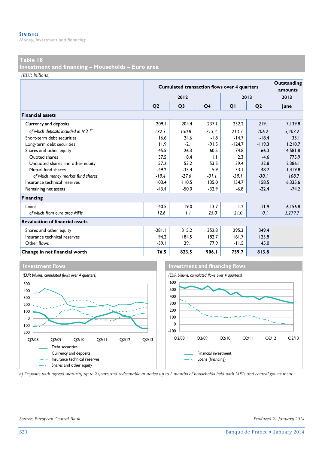*Money, investment and financing* 

#### **Table 18**

**Investment and financing – Households – Euro area** 

*(EUR billions)*

|                                        |                | <b>Cumulated transaction flows over 4 quarters</b> |                |          |                |         |  |  |
|----------------------------------------|----------------|----------------------------------------------------|----------------|----------|----------------|---------|--|--|
|                                        |                | 2012                                               |                |          | 2013           | 2013    |  |  |
|                                        | O <sub>2</sub> | Q <sub>3</sub>                                     | Q <sub>4</sub> | QI       | Q <sub>2</sub> | lune    |  |  |
| <b>Financial assets</b>                |                |                                                    |                |          |                |         |  |  |
| Currency and deposits                  | 209.1          | 204.4                                              | 237.1          | 232.2    | 219.1          | 7,139.8 |  |  |
| of which deposits included in M3 $a$   | 132.3          | 150.8                                              | 213.4          | 213.7    | 206.2          | 5,403.2 |  |  |
| Short-term debt securities             | 16.6           | 24.6                                               | $-1.8$         | $-14.7$  | $-18.4$        | 35.1    |  |  |
| Long-term debt securities              | 11.9           | $-2.1$                                             | $-91.5$        | $-124.7$ | $-119.3$       | 1.210.7 |  |  |
| Shares and other equity                | 45.5           | 26.3                                               | 60.5           | 74.8     | 66.3           | 4,581.8 |  |  |
| Ouoted shares                          | 37.5           | 8.4                                                | $\mathbf{L}$   | 2.3      | $-4.6$         | 775.9   |  |  |
| Unquoted shares and other equity       | 57.2           | 53.2                                               | 53.5           | 39.4     | 22.8           | 2,386.1 |  |  |
| Mutual fund shares                     | $-49.2$        | $-35.4$                                            | 5.9            | 33.1     | 48.2           | 1,419.8 |  |  |
| of which money market fund shares      | $-19.4$        | $-27.6$                                            | $-31.1$        | $-39.1$  | $-30.1$        | 108.7   |  |  |
| Insurance technical reserves           | 103.4          | 110.5                                              | 135.0          | 154.7    | 158.5          | 6,335.6 |  |  |
| Remaining net assets                   | $-43.4$        | $-50.0$                                            | $-32.9$        | $-6.8$   | $-22.4$        | $-74.2$ |  |  |
| <b>Financing</b>                       |                |                                                    |                |          |                |         |  |  |
| Loans                                  | 40.5           | 19.0                                               | 13.7           | 1.2      | $-11.9$        | 6,156.8 |  |  |
| of which from euro area MFIs           | 12.6           | 1.1                                                | 25.0           | 21.0     | 0.1            | 5,279.7 |  |  |
| <b>Revaluation of financial assets</b> |                |                                                    |                |          |                |         |  |  |
| Shares and other equity                | $-281.1$       | 315.2                                              | 352.8          | 295.3    | 349.4          |         |  |  |
| Insurance technical reserves           | 94.2           | 184.5                                              | 182.7          | 161.7    | 123.8          |         |  |  |
| Other flows                            | $-39.1$        | 29.1                                               | 77.9           | $-11.5$  | 45.0           |         |  |  |
| Change in net financial worth          | 76.5           | 823.5                                              | 906.I          | 759.7    | 813.8          |         |  |  |



*a) Deposits with agreed maturity up to 2 years and redeemable at notice up to 3 months of households held with MFIs and central government.*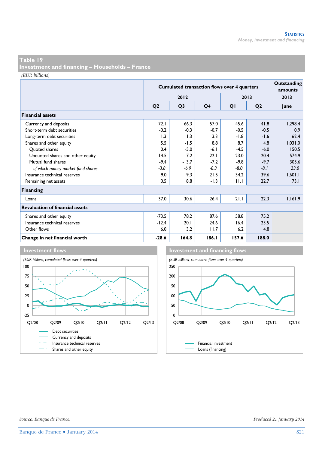**Investment and financing – Households – France** 

*(EUR billions)*

|                                        |                | <b>Cumulated transaction flows over 4 quarters</b> |        |        |                |         |  |
|----------------------------------------|----------------|----------------------------------------------------|--------|--------|----------------|---------|--|
|                                        |                | 2012                                               |        |        | 2013           | 2013    |  |
|                                        | Q <sub>2</sub> | Q <sub>3</sub>                                     | Q4     | QI     | Q <sub>2</sub> | June    |  |
| <b>Financial assets</b>                |                |                                                    |        |        |                |         |  |
| Currency and deposits                  | 72.1           | 66.3                                               | 57.0   | 45.6   | 41.8           | 1,298.4 |  |
| Short-term debt securities             | $-0.2$         | $-0.3$                                             | $-0.7$ | $-0.5$ | $-0.5$         | 0.9     |  |
| Long-term debt securities              | 1.3            | 1.3                                                | 3.3    | $-1.8$ | $-1.6$         | 62.4    |  |
| Shares and other equity                | 5.5            | -1.5                                               | 8.8    | 8.7    | 4.8            | 1,031.0 |  |
| Quoted shares                          | 0.4            | $-5.0$                                             | $-6.1$ | $-4.5$ | $-6.0$         | 150.5   |  |
| Unquoted shares and other equity       | 14.5           | 17.2                                               | 22.1   | 23.0   | 20.4           | 574.9   |  |
| Mutual fund shares                     | $-9.4$         | $-13.7$                                            | $-7.2$ | $-9.8$ | $-9.7$         | 305.6   |  |
| of which money market fund shares      | $-3.8$         | -6.9                                               | $-8.3$ | $-8.0$ | $-8.1$         | 23.0    |  |
| Insurance technical reserves           | 9.0            | 9.3                                                | 21.5   | 34.2   | 39.6           | 1,601.1 |  |
| Remaining net assets                   | 0.5            | 8.8                                                | $-1.3$ | 11.1   | 22.7           | 73.1    |  |
| <b>Financing</b>                       |                |                                                    |        |        |                |         |  |
| Loans                                  | 37.0           | 30.6                                               | 26.4   | 21.1   | 22.3           | 1,161.9 |  |
| <b>Revaluation of financial assets</b> |                |                                                    |        |        |                |         |  |
| Shares and other equity                | $-73.5$        | 78.2                                               | 87.6   | 58.8   | 75.2           |         |  |
| Insurance technical reserves           | $-12.4$        | 20.1                                               | 24.6   | 16.4   | 23.5           |         |  |
| Other flows                            | 6.0            | 13.2                                               | 11.7   | 6.2    | 4.8            |         |  |
| Change in net financial worth          | $-28.6$        | 164.8                                              | 186.1  | 157.6  | 188.0          |         |  |



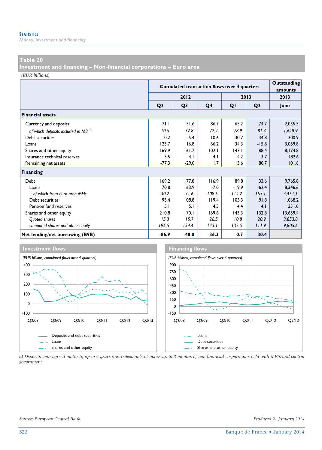*Money, investment and financing* 

#### **Table 20**

**Investment and financing – Non-financial corporations – Euro area** 

*(EUR billions)*

|                                                |                | <b>Cumulated transaction flows over 4 quarters</b> |          |          |                | Outstanding     |
|------------------------------------------------|----------------|----------------------------------------------------|----------|----------|----------------|-----------------|
|                                                |                | 2012                                               |          |          | 2013           | amounts<br>2013 |
|                                                | Q <sub>2</sub> | Q <sub>3</sub>                                     | Q4       | QI       | Q <sub>2</sub> | lune            |
| <b>Financial assets</b>                        |                |                                                    |          |          |                |                 |
| Currency and deposits                          | 71.I           | 51.6                                               | 86.7     | 65.2     | 74.7           | 2,035.5         |
| of which deposits included in M3 <sup>a)</sup> | 10.5           | 32.8                                               | 72.2     | 78.9     | 81.3           | 1,648.9         |
| Debt securities                                | 0.2            | $-5.4$                                             | $-10.6$  | $-30.7$  | $-34.8$        | 300.9           |
| Loans                                          | 123.7          | 116.8                                              | 66.2     | 34.3     | $-15.8$        | 3,059.8         |
| Shares and other equity                        | 169.9          | 161.7                                              | 102.1    | 147.1    | 88.4           | 8,174.8         |
| Insurance technical reserves                   | 5.5            | 4.1                                                | 4.1      | 4.2      | 3.7            | 182.6           |
| Remaining net assets                           | $-77.3$        | $-29.0$                                            | 1.7      | 13.6     | 80.7           | 101.6           |
| Financing                                      |                |                                                    |          |          |                |                 |
| Debt                                           | 169.2          | 177.8                                              | 116.9    | 89.8     | 33.6           | 9,765.8         |
| Loans                                          | 70.8           | 63.9                                               | $-7.0$   | $-19.9$  | $-62.4$        | 8,346.6         |
| of which from euro area MFIs                   | $-30.2$        | $-71.6$                                            | $-108.5$ | $-114.2$ | $-155.1$       | 4,451.1         |
| Debt securities                                | 93.4           | 108.8                                              | 119.4    | 105.3    | 91.8           | 1,068.2         |
| Pension fund reserves                          | 5.1            | 5.1                                                | 4.5      | 4.4      | 4.1            | 351.0           |
| Shares and other equity                        | 210.8          | 170.1                                              | 169.6    | 143.3    | 132.8          | 13,659.4        |
| Quoted shares                                  | 15.3           | 15.7                                               | 26.5     | 10.8     | 20.9           | 3,853.8         |
| Unquoted shares and other equity               | 195.5          | 154.4                                              | 143.I    | 132.5    | 111.9          | 9,805.6         |
| Net lending/net borrowing (B9B)                | $-86.9$        | $-48.0$                                            | $-36.3$  | 0.7      | 30.4           |                 |



*a) Deposits with agreed maturity up to 2 years and redeemable at notice up to 3 months of non-financial corporations held with MFIs and central government.*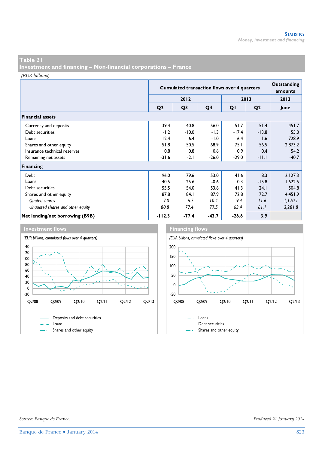**Investment and financing – Non-financial corporations – France** 

*(EUR billions)*

|                                  |                | <b>Cumulated transaction flows over 4 quarters</b> | <b>Outstanding</b><br>amounts |         |                |         |
|----------------------------------|----------------|----------------------------------------------------|-------------------------------|---------|----------------|---------|
|                                  |                | 2012                                               |                               |         | 2013           | 2013    |
|                                  | Q <sub>2</sub> | Q <sub>3</sub>                                     | Q4                            | QI      | Q <sub>2</sub> | June    |
| <b>Financial assets</b>          |                |                                                    |                               |         |                |         |
| Currency and deposits            | 39.4           | 40.8                                               | 56.0                          | 51.7    | 51.4           | 451.7   |
| Debt securities                  | $-1.2$         | $-10.0$                                            | $-1.3$                        | $-17.4$ | $-13.8$        | 55.0    |
| Loans                            | 12.4           | 6.4                                                | $-1.0$                        | 6.4     | 1.6            | 728.9   |
| Shares and other equity          | 51.8           | 50.5                                               | 68.9                          | 75.I    | 56.5           | 2,873.2 |
| Insurance technical reserves     | 0.8            | 0.8                                                | 0.6                           | 0.9     | 0.4            | 54.2    |
| Remaining net assets             | $-31.6$        | $-2.1$                                             | $-26.0$                       | $-29.0$ | $-11.1$        | $-40.7$ |
| Financing                        |                |                                                    |                               |         |                |         |
| Debt                             | 96.0           | 79.6                                               | 53.0                          | 41.6    | 8.3            | 2,127.3 |
| Loans                            | 40.5           | 25.6                                               | $-0.6$                        | 0.3     | $-15.8$        | 1,622.5 |
| Debt securities                  | 55.5           | 54.0                                               | 53.6                          | 41.3    | 24.1           | 504.8   |
| Shares and other equity          | 87.8           | 84.1                                               | 87.9                          | 72.8    | 72.7           | 4,451.9 |
| Quoted shares                    | 7.0            | 6.7                                                | 10.4                          | 9.4     | 11.6           | 1,170.1 |
| Unquoted shares and other equity | 80.8           | 77.4                                               | 77.5                          | 63.4    | 61.1           | 3,281.8 |
| Net lending/net borrowing (B9B)  | $-112.3$       | $-77.4$                                            | $-43.7$                       | $-26.6$ | 3.9            |         |





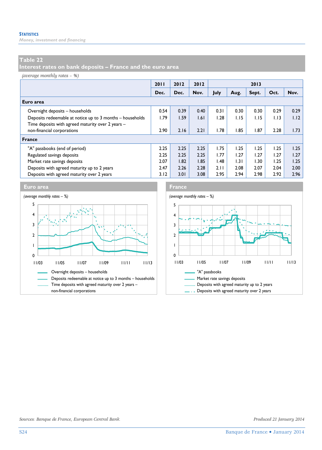*Money, investment and financing* 

#### **Table 22**

**Interest rates on bank deposits – France and the euro area** 

*(average monthly rates – %)*

|                                                           | 2011 | 2012 | 2012 | 2013 |      |       |      |      |
|-----------------------------------------------------------|------|------|------|------|------|-------|------|------|
|                                                           | Dec. | Dec. | Nov. | July | Aug. | Sept. | Oct. | Nov. |
| Euro area                                                 |      |      |      |      |      |       |      |      |
| Overnight deposits - households                           | 0.54 | 0.39 | 0.40 | 0.31 | 0.30 | 0.30  | 0.29 | 0.29 |
| Deposits redeemable at notice up to 3 months - households | 1.79 | 1.59 | 1.61 | 1.28 | 1.15 | 1.15  | 1.13 | 1.12 |
| Time deposits with agreed maturity over 2 years -         |      |      |      |      |      |       |      |      |
| non-financial corporations                                | 2.90 | 2.16 | 2.21 | 1.78 | 1.85 | 1.87  | 2.28 | 1.73 |
| France                                                    |      |      |      |      |      |       |      |      |
| "A" passbooks (end of period)                             | 2.25 | 2.25 | 2.25 | I.75 | 1.25 | 1.25  | 1.25 | 1.25 |
| Regulated savings deposits                                | 2.25 | 2.25 | 2.25 | 1.77 | 1.27 | 1.27  | 1.27 | 1.27 |
| Market rate savings deposits                              | 2.07 | 1.82 | 1.85 | 1.48 | 1.31 | 1.30  | 1.25 | 1.25 |
| Deposits with agreed maturity up to 2 years               | 2.47 | 2.26 | 2.28 | 2.11 | 2.08 | 2.07  | 2.04 | 2.00 |
| Deposits with agreed maturity over 2 years                | 3.12 | 3.01 | 3.08 | 2.95 | 2.94 | 2.98  | 2.92 | 2.96 |





*Sources: Banque de France, European Central Bank. Produced 21 January 2014*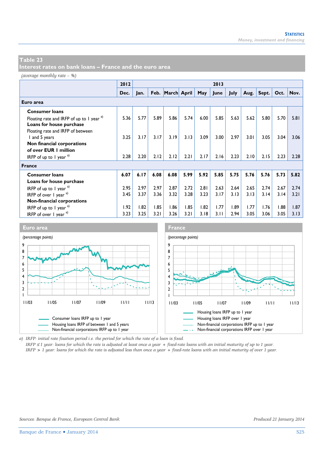**Interest rates on bank loans – France and the euro area** 

*(average monthly rate – %)*

|                                               | 2012 | 2013 |      |                  |      |      |      |      |      |       |      |      |
|-----------------------------------------------|------|------|------|------------------|------|------|------|------|------|-------|------|------|
|                                               | Dec. | Jan. |      | Feb. March April |      | May  | June | July | Aug. | Sept. | Oct. | Nov. |
| Euro area                                     |      |      |      |                  |      |      |      |      |      |       |      |      |
| <b>Consumer loans</b>                         |      |      |      |                  |      |      |      |      |      |       |      |      |
| Floating rate and IRFP of up to 1 year a)     | 5.36 | 5.77 | 5.89 | 5.86             | 5.74 | 6.00 | 5.85 | 5.63 | 5.62 | 5.80  | 5.70 | 5.81 |
| Loans for house purchase                      |      |      |      |                  |      |      |      |      |      |       |      |      |
| Floating rate and IRFP of between             |      |      |      |                  |      |      |      |      |      |       |      |      |
| I and 5 years                                 | 3.25 | 3.17 | 3.17 | 3.19             | 3.13 | 3.09 | 3.00 | 2.97 | 3.01 | 3.05  | 3.04 | 3.06 |
| Non financial corporations                    |      |      |      |                  |      |      |      |      |      |       |      |      |
| of over EUR 1 million                         |      |      |      |                  |      |      |      |      |      |       |      |      |
| IRFP of up to 1 year $a^{(1)}$                | 2.28 | 2.20 | 2.12 | 2.12             | 2.21 | 2.17 | 2.16 | 2.23 | 2.10 | 2.15  | 2.23 | 2.28 |
| <b>France</b>                                 |      |      |      |                  |      |      |      |      |      |       |      |      |
| <b>Consumer loans</b>                         | 6.07 | 6.17 | 6.08 | 6.08             | 5.99 | 5.92 | 5.85 | 5.75 | 5.76 | 5.76  | 5.73 | 5.82 |
| Loans for house purchase                      |      |      |      |                  |      |      |      |      |      |       |      |      |
| IRFP of up to 1 year $a$ )                    | 2.95 | 2.97 | 2.97 | 2.87             | 2.72 | 2.81 | 2.63 | 2.64 | 2.65 | 2.74  | 2.67 | 2.74 |
| IRFP of over $\vert$ year $a$ )               | 3.45 | 3.37 | 3.36 | 3.32             | 3.28 | 3.23 | 3.17 | 3.13 | 3.13 | 3.14  | 3.14 | 3.21 |
| Non-financial corporations                    |      |      |      |                  |      |      |      |      |      |       |      |      |
| IRFP of up to 1 year $a^{(1)}$                | 1.92 | 1.82 | 1.85 | 1.86             | 1.85 | 1.82 | 1.77 | 1.89 | 1.77 | 1.76  | 1.88 | 1.87 |
| IRFP of over $\frac{1}{2}$ year $\frac{1}{2}$ | 3.23 | 3.25 | 3.21 | 3.26             | 3.21 | 3.18 | 3.11 | 2.94 | 3.05 | 3.06  | 3.05 | 3.13 |



*a) IRFP: initial rate fixation period i.e. the period for which the rate of a loan is fixed.* 

*IRFP* ≤ *1 year: loans for which the rate is adjusted at least once a year + fixed-rate loans with an initial maturity of up to 1 year. IRFP > 1 year: loans for which the rate is adjusted less than once a year + fixed-rate loans with an initial maturity of over 1 year.*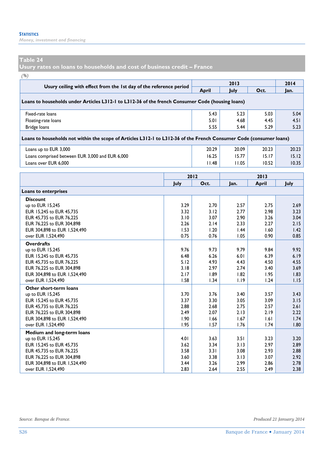*Money, investment and financing* 

#### **Table 24**

**Usury rates on loans to households and cost of business credit – France** 

*(%)*

| $($ %)                                                                                                              |              |              | 2013         |              | 2014                      |  |  |  |
|---------------------------------------------------------------------------------------------------------------------|--------------|--------------|--------------|--------------|---------------------------|--|--|--|
| Usury ceiling with effect from the 1st day of the reference period                                                  |              | April        | July         | Oct.         | Jan.                      |  |  |  |
| Loans to households under Articles L312-1 to L312-36 of the french Consumer Code (housing loans)                    |              |              |              |              |                           |  |  |  |
| Fixed-rate loans                                                                                                    |              | 5.43         | 5.23         | 5.03         | 5.04                      |  |  |  |
| Floating-rate loans                                                                                                 | 5.01         | 4.68         | 4.45         | 4.51         |                           |  |  |  |
| Bridge loans                                                                                                        |              | 5.55         | 5.44         | 5.29         | 5.23                      |  |  |  |
| Loans to households not within the scope of Articles L312-1 to L312-36 of the French Consumer Code (consumer loans) |              |              |              |              |                           |  |  |  |
| Loans up to EUR 3,000                                                                                               |              | 20.29        | 20.09        | 20.23        | 20.23                     |  |  |  |
| Loans comprised between EUR 3,000 and EUR 6,000                                                                     |              | 16.25        | 15.77        | 15.17        | 15.12                     |  |  |  |
| Loans over EUR 6,000                                                                                                |              | 11.48        | 11.05        | 10.52        | 10.35                     |  |  |  |
|                                                                                                                     |              |              |              |              |                           |  |  |  |
|                                                                                                                     |              | 2012         |              | 2013         | July                      |  |  |  |
|                                                                                                                     | July         | Oct.         | Jan.         | <b>April</b> |                           |  |  |  |
| Loans to enterprises                                                                                                |              |              |              |              |                           |  |  |  |
| <b>Discount</b>                                                                                                     |              |              |              |              |                           |  |  |  |
| up to EUR 15,245                                                                                                    | 3.29         | 2.70         | 2.57         | 2.75         | 2.69                      |  |  |  |
| EUR 15,245 to EUR 45,735                                                                                            | 3.32         | 3.12         | 2.77         | 2.98         | 3.23                      |  |  |  |
| EUR 45,735 to EUR 76,225                                                                                            | 3.10         | 3.07         | 2.90         | 3.26         | 3.04                      |  |  |  |
| EUR 76,225 to EUR 304,898<br>EUR 304,898 to EUR 1,524,490                                                           | 2.26<br>1.53 | 2.14<br>1.20 | 2.33<br>1.44 | 2.27<br>1.60 | 2.15<br>$\overline{1.42}$ |  |  |  |
| over EUR 1,524,490                                                                                                  | 0.75         | 0.76         | 1.05         | 0.90         | 0.85                      |  |  |  |
| <b>Overdrafts</b>                                                                                                   |              |              |              |              |                           |  |  |  |
| up to EUR 15,245                                                                                                    | 9.76         | 9.73         | 9.79         | 9.84         | 9.92                      |  |  |  |
| EUR 15,245 to EUR 45,735                                                                                            | 6.48         | 6.26         | 6.01         | 6.39         | 6.19                      |  |  |  |
| EUR 45,735 to EUR 76,225                                                                                            | 5.12         | 4.93         | 4.43         | 4.50         | 4.55                      |  |  |  |
| EUR 76,225 to EUR 304,898                                                                                           | 3.18         | 2.97         | 2.74         | 3.40         | 3.69                      |  |  |  |
| EUR 304,898 to EUR 1,524,490                                                                                        | 2.17         | 1.89         | 1.82         | 1.95         | 1.83                      |  |  |  |
| over EUR 1,524,490                                                                                                  | 1.58         | 1.34         | 1.19         | 1.24         | 1.15                      |  |  |  |
| Other short-term loans                                                                                              |              |              |              |              |                           |  |  |  |
| up to EUR 15,245<br>EUR 15,245 to EUR 45,735                                                                        | 3.70<br>3.37 | 3.76<br>3.30 | 3.40<br>3.05 | 3.57<br>3.09 | 3.43<br>3.15              |  |  |  |
| EUR 45,735 to EUR 76,225                                                                                            | 2.88         | 2.68         | 2.75         | 2.57         | 2.61                      |  |  |  |
| EUR 76,225 to EUR 304,898                                                                                           | 2.49         | 2.07         | 2.13         | 2.19         | 2.22                      |  |  |  |
| EUR 304,898 to EUR 1,524,490                                                                                        | 1.90         | 1.66         | 1.67         | 1.61         | 1.74                      |  |  |  |
| over EUR 1,524,490                                                                                                  | 1.95         | 1.57         | 1.76         | 1.74         | 1.80                      |  |  |  |
| Medium and long-term loans                                                                                          |              |              |              |              |                           |  |  |  |
| up to EUR 15,245                                                                                                    | 4.01         | 3.63         | 3.51         | 3.23         | 3.20                      |  |  |  |
| EUR 15,245 to EUR 45,735                                                                                            | 3.62         | 3.34         | 3.13         | 2.97         | 2.89                      |  |  |  |
| EUR 45,735 to EUR 76,225                                                                                            | 3.58         | 3.31         | 3.08         | 2.93         | 2.88                      |  |  |  |
| EUR 76,225 to EUR 304,898<br>EUR 304,898 to EUR 1,524,490                                                           | 3.60<br>3.44 | 3.38<br>3.26 | 3.13<br>2.99 | 3.07<br>2.86 | 2.92<br>2.78              |  |  |  |
| over EUR 1,524,490                                                                                                  | 2.83         | 2.64         | 2.55         | 2.49         | 2.38                      |  |  |  |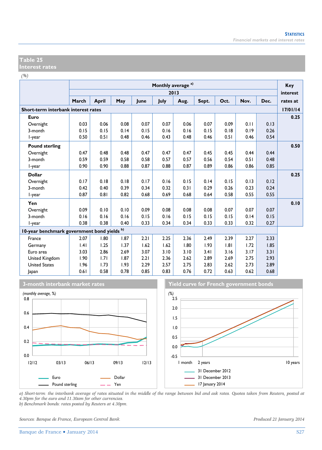*(%)*

| $\sqrt{2}$                                  |       |              |      |      | Monthly average <sup>a)</sup> |      |       |      |      |      | Key      |
|---------------------------------------------|-------|--------------|------|------|-------------------------------|------|-------|------|------|------|----------|
|                                             |       |              |      |      |                               | 2013 |       |      |      |      | interest |
|                                             | March | <b>April</b> | May  | lune | July                          | Aug. | Sept. | Oct. | Nov. | Dec. | rates at |
| Short-term interbank interest rates         |       |              |      |      |                               |      |       |      |      |      | 17/01/14 |
| Euro                                        |       |              |      |      |                               |      |       |      |      |      | 0.25     |
| Overnight                                   | 0.03  | 0.06         | 0.08 | 0.07 | 0.07                          | 0.06 | 0.07  | 0.09 | 0.11 | 0.13 |          |
| 3-month                                     | 0.15  | 0.15         | 0.14 | 0.15 | 0.16                          | 0.16 | 0.15  | 0.18 | 0.19 | 0.26 |          |
| I-year                                      | 0.50  | 0.51         | 0.48 | 0.46 | 0.43                          | 0.48 | 0.46  | 0.51 | 0.46 | 0.54 |          |
| <b>Pound sterling</b>                       |       |              |      |      |                               |      |       |      |      |      | 0.50     |
| Overnight                                   | 0.47  | 0.48         | 0.48 | 0.47 | 0.47                          | 0.47 | 0.45  | 0.45 | 0.44 | 0.44 |          |
| 3-month                                     | 0.59  | 0.59         | 0.58 | 0.58 | 0.57                          | 0.57 | 0.56  | 0.54 | 0.51 | 0.48 |          |
| l-year                                      | 0.90  | 0.90         | 0.88 | 0.87 | 0.88                          | 0.87 | 0.89  | 0.86 | 0.86 | 0.85 |          |
| <b>Dollar</b>                               |       |              |      |      |                               |      |       |      |      |      | 0.25     |
| Overnight                                   | 0.17  | 0.18         | 0.18 | 0.17 | 0.16                          | 0.15 | 0.14  | 0.15 | 0.13 | 0.12 |          |
| 3-month                                     | 0.42  | 0.40         | 0.39 | 0.34 | 0.32                          | 0.31 | 0.29  | 0.26 | 0.23 | 0.24 |          |
| l-year                                      | 0.87  | 0.81         | 0.82 | 0.68 | 0.69                          | 0.68 | 0.64  | 0.58 | 0.55 | 0.55 |          |
| Yen                                         |       |              |      |      |                               |      |       |      |      |      | 0.10     |
| Overnight                                   | 0.09  | 0.10         | 0.10 | 0.09 | 0.08                          | 0.08 | 0.08  | 0.07 | 0.07 | 0.07 |          |
| 3-month                                     | 0.16  | 0.16         | 0.16 | 0.15 | 0.16                          | 0.15 | 0.15  | 0.15 | 0.14 | 0.15 |          |
| l-year                                      | 0.38  | 0.38         | 0.40 | 0.33 | 0.34                          | 0.34 | 0.33  | 0.33 | 0.32 | 0.27 |          |
| 10-year benchmark government bond yields b) |       |              |      |      |                               |      |       |      |      |      |          |
| France                                      | 2.07  | 1.80         | 1.87 | 2.21 | 2.25                          | 2.36 | 2.49  | 2.39 | 2.27 | 2.33 |          |
| Germany                                     | .4    | 1.25         | 1.37 | 1.62 | 1.62                          | 1.80 | 1.93  | 1.81 | 1.72 | 1.85 |          |
| Euro area                                   | 3.03  | 2.86         | 2.69 | 3.07 | 3.10                          | 3.10 | 3.41  | 3.16 | 3.17 | 3.31 |          |
| United Kingdom                              | 1.90  | 1.71         | 1.87 | 2.21 | 2.36                          | 2.62 | 2.89  | 2.69 | 2.75 | 2.93 |          |
| <b>United States</b>                        | 1.96  | 1.73         | 1.93 | 2.29 | 2.57                          | 2.75 | 2.83  | 2.62 | 2.73 | 2.89 |          |
| Japan                                       | 0.61  | 0.58         | 0.78 | 0.85 | 0.83                          | 0.76 | 0.72  | 0.63 | 0.62 | 0.68 |          |







*a) Short-term: the interbank average of rates situated in the middle of the range between bid and ask rates. Quotes taken from Reuters, posted at 4.30pm for the euro and 11.30am for other currencies.* 

*b) Benchmark bonds: rates posted by Reuters at 4.30pm.* 

*Sources: Banque de France, European Central Bank. Produced 21 January 2014*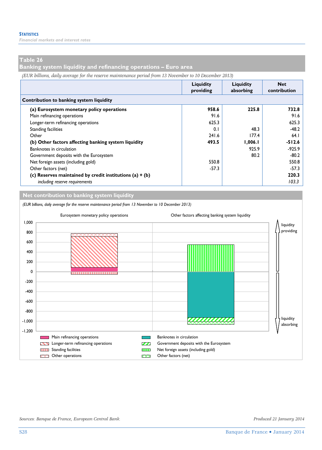*Financial markets and interest rates* 

#### **Table 26**

**Banking system liquidity and refinancing operations – Euro area** 

*(EUR billions, daily average for the reserve maintenance period from 13 November to 10 December 2013)*

|                                                            | Liquidity<br>providing | Liquidity<br>absorbing | <b>Net</b><br>contribution |  |  |  |  |  |
|------------------------------------------------------------|------------------------|------------------------|----------------------------|--|--|--|--|--|
| Contribution to banking system liquidity                   |                        |                        |                            |  |  |  |  |  |
| (a) Eurosystem monetary policy operations                  | 958.6                  | 225.8                  | 732.8                      |  |  |  |  |  |
| Main refinancing operations                                | 91.6                   |                        | 91.6                       |  |  |  |  |  |
| Longer-term refinancing operations                         | 625.3                  |                        | 625.3                      |  |  |  |  |  |
| <b>Standing facilities</b>                                 | 0.1                    | 48.3                   | $-48.2$                    |  |  |  |  |  |
| Other                                                      | 241.6                  | 177.4                  | 64.1                       |  |  |  |  |  |
| (b) Other factors affecting banking system liquidity       | 493.5                  | 1,006.1                | $-512.6$                   |  |  |  |  |  |
| Banknotes in circulation                                   |                        | 925.9                  | $-925.9$                   |  |  |  |  |  |
| Government deposits with the Eurosystem                    |                        | 80.2                   | $-80.2$                    |  |  |  |  |  |
| Net foreign assets (including gold)                        | 550.8                  |                        | 550.8                      |  |  |  |  |  |
| Other factors (net)                                        | $-57.3$                |                        | $-57.3$                    |  |  |  |  |  |
| (c) Reserves maintained by credit institutions (a) $+$ (b) |                        |                        | 220.3                      |  |  |  |  |  |
| including reserve requirements                             |                        |                        | 103.3                      |  |  |  |  |  |

**Net contribution to banking system liquidity**

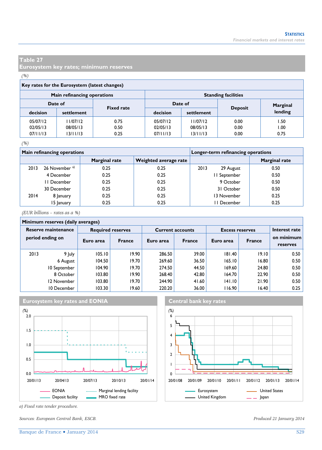**Eurosystem key rates; minimum reserves** 

#### *(%)*

| Key rates for the Eurosystem (latest changes) |                              |      |                            |            |                |          |  |  |  |
|-----------------------------------------------|------------------------------|------|----------------------------|------------|----------------|----------|--|--|--|
|                                               | Main refinancing operations  |      | <b>Standing facilities</b> |            |                |          |  |  |  |
|                                               | Date of<br><b>Fixed rate</b> |      |                            | Date of    |                | Marginal |  |  |  |
| decision                                      | settlement                   |      | decision                   | settlement | <b>Deposit</b> | lending  |  |  |  |
| 05/07/12                                      | 11/07/12                     | 0.75 | 05/07/12                   | 11/07/12   | 0.00           | 1.50     |  |  |  |
| 02/05/13                                      | 08/05/13                     | 0.50 | 02/05/13                   | 08/05/13   | 0.00           | 1.00     |  |  |  |
| 07/11/13                                      | 13/11/13                     | 0.25 | 07/11/13                   | 13/11/13   | 0.00           | 0.75     |  |  |  |

#### *(%)*

|      | <b>Main refinancing operations</b> |               | Longer-term refinancing operations |                   |               |  |
|------|------------------------------------|---------------|------------------------------------|-------------------|---------------|--|
|      |                                    | Marginal rate | Weighted average rate              |                   | Marginal rate |  |
| 2013 | 26 November <sup>a)</sup>          | 0.25          | 0.25                               | 2013<br>29 August | 0.50          |  |
|      | 4 December                         | 0.25          | 0.25                               | II September      | 0.50          |  |
|      | II December                        | 0.25          | 0.25                               | 9 October         | 0.50          |  |
|      | 30 December                        | 0.25          | 0.25                               | 31 October        | 0.50          |  |
| 2014 | 8 January                          | 0.25          | 0.25                               | 13 November       | 0.25          |  |
|      | 15 January                         | 0.25          | 0.25                               | I December        | 0.25          |  |

*(EUR billions – rates as a %)*

#### **Minimum reserves (daily averages)**

| $\frac{1}{2}$ . The distribution of the contract of the contract of the contract of the contract of the contract of the contract of the contract of the contract of the contract of the contract of the contract of the contract |              |           |                          |           |                         |                        |        |                        |  |  |
|----------------------------------------------------------------------------------------------------------------------------------------------------------------------------------------------------------------------------------|--------------|-----------|--------------------------|-----------|-------------------------|------------------------|--------|------------------------|--|--|
| Reserve maintenance<br>period ending on                                                                                                                                                                                          |              |           | <b>Required reserves</b> |           | <b>Current accounts</b> | <b>Excess reserves</b> |        | Interest rate          |  |  |
|                                                                                                                                                                                                                                  |              | Euro area | <b>France</b>            | Euro area | <b>France</b>           | Euro area              | France | on minimum<br>reserves |  |  |
| 2013                                                                                                                                                                                                                             | 9 July       | 105.10    | 19.90                    | 286.50    | 39.00                   | 181.40                 | 19.10  | 0.50                   |  |  |
|                                                                                                                                                                                                                                  | 6 August     | 104.50    | 19.70                    | 269.60    | 36.50                   | 165.10                 | 16.80  | 0.50                   |  |  |
|                                                                                                                                                                                                                                  | 10 September | 104.90    | 19.70                    | 274.50    | 44.50                   | 169.60                 | 24.80  | 0.50                   |  |  |
|                                                                                                                                                                                                                                  | 8 October    | 103.80    | 19.90                    | 268.40    | 42.80                   | 164.70                 | 22.90  | 0.50                   |  |  |
|                                                                                                                                                                                                                                  | 12 November  | 103.80    | 19.70                    | 244.90    | 41.60                   | 141.10                 | 21.90  | 0.50                   |  |  |
|                                                                                                                                                                                                                                  | 10 December  | 103.30    | 19.60                    | 220.20    | 36.00                   | 116.90                 | 16.40  | 0.25                   |  |  |





*a) Fixed rate tender procedure.* 

*Sources: European Central Bank, ESCB. Produced 21 January 2014*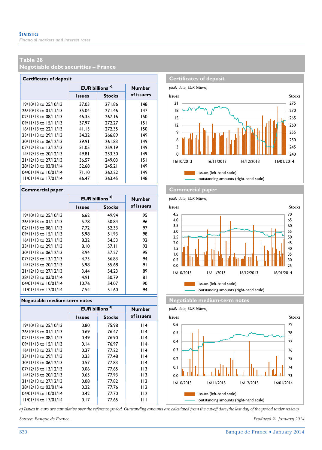**Negotiable debt securities – France** 

| <b>Certificates of deposit</b> |                            |               |               |  |  |  |  |  |  |
|--------------------------------|----------------------------|---------------|---------------|--|--|--|--|--|--|
|                                | EUR billions <sup>a)</sup> |               | <b>Number</b> |  |  |  |  |  |  |
|                                | <b>Issues</b>              | <b>Stocks</b> | of issuers    |  |  |  |  |  |  |
| 19/10/13 to 25/10/13           | 37.03                      | 271.86        | 148           |  |  |  |  |  |  |
| 26/10/13 to 01/11/13           | 35.04                      | 271.46        | 147           |  |  |  |  |  |  |
| $02/11/13$ to $08/11/13$       | 46.35                      | 267.16        | 150           |  |  |  |  |  |  |
| 09/11/13 to 15/11/13           | 37.97                      | 272.27        | 151           |  |  |  |  |  |  |
| 16/11/13 to 22/11/13           | 41.13                      | 272.35        | 150           |  |  |  |  |  |  |
| $23/11/13$ to $29/11/13$       | 34.22                      | 266.89        | 149           |  |  |  |  |  |  |
| 30/11/13 to 06/12/13           | 39.91                      | 261.83        | 149           |  |  |  |  |  |  |
| 07/12/13 to 13/12/13           | 51.05                      | 259.19        | 149           |  |  |  |  |  |  |
| 14/12/13 to 20/12/13           | 49.81                      | 253.30        | 149           |  |  |  |  |  |  |
| 21/12/13 to 27/12/13           | 36.57                      | 249.03        | 151           |  |  |  |  |  |  |
| 28/12/13 to 03/01/14           | 52.68                      | 245.21        | 149           |  |  |  |  |  |  |
| 04/01/14 to 10/01/14           | 71.10                      | 262.22        | 149           |  |  |  |  |  |  |
| 11/01/14 to 17/01/14           | 66.47                      | 263.45        | 148           |  |  |  |  |  |  |

#### **Commercial paper Commercial paper**

|                          | <b>EUR billions</b> | Number        |            |
|--------------------------|---------------------|---------------|------------|
|                          | <b>Issues</b>       | <b>Stocks</b> | of issuers |
| $19/10/13$ to $25/10/13$ | 6.62                | 49.94         | 95         |
| 26/10/13 to 01/11/13     | 5.78                | 50.84         | 96         |
| $02/11/13$ to $08/11/13$ | 7.72                | 52.33         | 97         |
| $09/11/13$ to $15/11/13$ | 5.98                | 51.93         | 98         |
| $16/11/13$ to $22/11/13$ | 8.22                | 54.53         | 92         |
| 23/11/13 to 29/11/13     | 8.10                | 57.II         | 93         |
| 30/11/13 to 06/12/13     | 3.94                | 57.27         | 95         |
| $07/12/13$ to $13/12/13$ | 4.73                | 56.83         | 94         |
| 14/12/13 to 20/12/13     | 6.98                | 55.68         | 91         |
| 21/12/13 to 27/12/13     | 3.44                | 54.23         | 89         |
| 28/12/13 to 03/01/14     | 4.91                | 50.79         | 81         |
| 04/01/14 to 10/01/14     | 10.76               | 54.07         | 90         |
| 11/01/14 to 17/01/14     | 7.54                | 51.60         | 94         |

|                          | <b>EUR billions<sup>a)</sup></b> |               | <b>Number</b> |  |  |  |  |  |  |  |
|--------------------------|----------------------------------|---------------|---------------|--|--|--|--|--|--|--|
|                          | <b>Issues</b>                    | <b>Stocks</b> | of issuers    |  |  |  |  |  |  |  |
| 19/10/13 to 25/10/13     | 0.80                             | 75.98         | l 14          |  |  |  |  |  |  |  |
| 26/10/13 to 01/11/13     | 0.69                             | 76.47         | l 14          |  |  |  |  |  |  |  |
| $02/11/13$ to $08/11/13$ | 0.49                             | 76.90         | l 14          |  |  |  |  |  |  |  |
| 09/11/13 to 15/11/13     | 0.14                             | 76.97         | l 14          |  |  |  |  |  |  |  |
| $16/11/13$ to $22/11/13$ | 0.37                             | 77.22         | l 14          |  |  |  |  |  |  |  |
| 23/11/13 to 29/11/13     | 0.33                             | 77.48         | l 14          |  |  |  |  |  |  |  |
| 30/11/13 to 06/12/13     | 0.57                             | 77.83         | l 14          |  |  |  |  |  |  |  |
| 07/12/13 to 13/12/13     | 0.06                             | 77.65         | I I 3         |  |  |  |  |  |  |  |
| 14/12/13 to 20/12/13     | 0.65                             | 77.93         | 113           |  |  |  |  |  |  |  |
| 21/12/13 to 27/12/13     | 0.08                             | 77.82         | 113           |  |  |  |  |  |  |  |
| 28/12/13 to 03/01/14     | 0.22                             | 77.76         | 112           |  |  |  |  |  |  |  |
| 04/01/14 to 10/01/14     | 0.42                             | 77.70         | 112           |  |  |  |  |  |  |  |
| 11/01/14 to 17/01/14     | 0.17                             | 77.65         | Ш             |  |  |  |  |  |  |  |
|                          |                                  |               |               |  |  |  |  |  |  |  |





**Negotiable medium-term notes Negotiable medium-term notes**

*(daily data, EUR billions)*



*a) Issues in euro are cumulative over the reference period. Outstanding amounts are calculated from the cut-off date (the last day of the period under review).*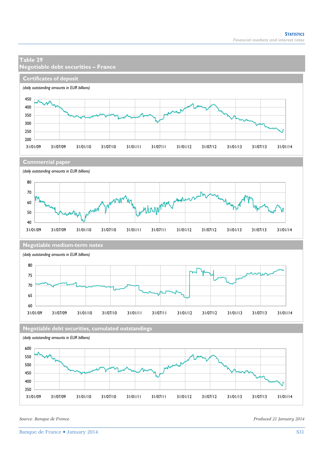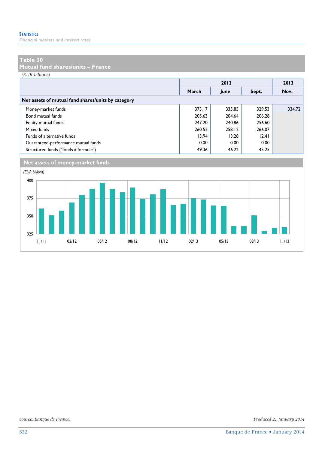*Financial markets and interest rates* 

#### **Table 30**

**Mutual fund shares/units – France** 

*(EUR billions)*

|                                                    |        |        | 2013   |        |  |  |  |  |  |
|----------------------------------------------------|--------|--------|--------|--------|--|--|--|--|--|
|                                                    | March  | June   | Sept.  | Nov.   |  |  |  |  |  |
| Net assets of mutual fund shares/units by category |        |        |        |        |  |  |  |  |  |
| Money-market funds                                 | 373.17 | 335.85 | 329.53 | 334.72 |  |  |  |  |  |
| Bond mutual funds                                  | 205.63 | 204.64 | 206.28 |        |  |  |  |  |  |
| Equity mutual funds                                | 247.20 | 240.86 | 256.60 |        |  |  |  |  |  |
| Mixed funds                                        | 260.52 | 258.12 | 266.07 |        |  |  |  |  |  |
| Funds of alternative funds                         | 13.94  | 13.28  | 12.41  |        |  |  |  |  |  |
| Guaranteed-performance mutual funds                | 0.00   | 0.00   | 0.00   |        |  |  |  |  |  |
| Structured funds ("fonds à formule")               | 49.36  | 46.22  | 45.25  |        |  |  |  |  |  |



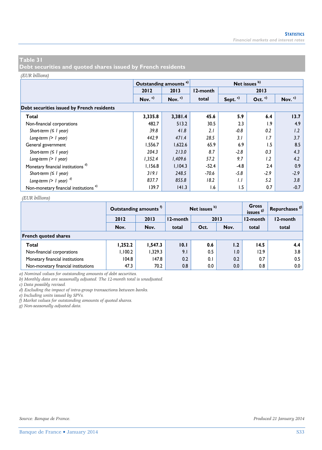**Debt securities and quoted shares issued by French residents** 

#### *(EUR billions)*

|                                                   |                    | Outstanding amounts <sup>a)</sup> |          | Net issues <sup>b)</sup> |                  |           |  |  |  |  |  |  |  |  |
|---------------------------------------------------|--------------------|-----------------------------------|----------|--------------------------|------------------|-----------|--|--|--|--|--|--|--|--|
|                                                   | 2012               | 2013                              | 12-month |                          | 2013             |           |  |  |  |  |  |  |  |  |
|                                                   | Nov. <sup>c)</sup> | Nov. $c)$                         | total    | Sept. <sup>c)</sup>      | Oct. $c)$        | Nov. $c)$ |  |  |  |  |  |  |  |  |
| Debt securities issued by French residents        |                    |                                   |          |                          |                  |           |  |  |  |  |  |  |  |  |
| Total                                             | 3,335.8            | 3,381.4                           | 45.6     | 5.9                      | 6.4              | 13.7      |  |  |  |  |  |  |  |  |
| Non-financial corporations                        | 482.7              | 513.2                             | 30.5     | 2.3                      | $\overline{1.9}$ | 4.9       |  |  |  |  |  |  |  |  |
| Short-term $( \leq l$ year)                       | 39.8               | 41.8                              | 2.1      | $-0.8$                   | 0.2              | 1.2       |  |  |  |  |  |  |  |  |
| Long-term $(> 1$ year)                            | 442.9              | 471.4                             | 28.5     | 3.1                      | 1.7              | 3.7       |  |  |  |  |  |  |  |  |
| General government                                | 1,556.7            | 1,622.6                           | 65.9     | 6.9                      | 1.5              | 8.5       |  |  |  |  |  |  |  |  |
| Short-term $( \leq l$ year)                       | 204.3              | 213.0                             | 8.7      | $-2.8$                   | 0.3              | 4.3       |  |  |  |  |  |  |  |  |
| Long-term $(> 1$ year)                            | 1,352.4            | 1,409.6                           | 57.2     | 9.7                      | 1.2              | 4.2       |  |  |  |  |  |  |  |  |
| Monetary financial institutions <sup>d)</sup>     | 1,156.8            | 1.104.3                           | $-52.4$  | $-4.8$                   | 2.4              | 0.9       |  |  |  |  |  |  |  |  |
| Short-term $( \leq l$ year)                       | 319.1              | 248.5                             | $-70.6$  | $-5.8$                   | $-2.9$           | $-2.9$    |  |  |  |  |  |  |  |  |
| Long-term $(>1$ year) $^{d)}$                     | 837.7              | 855.8                             | 18.2     | 1.1                      | 5.2              | 3.8       |  |  |  |  |  |  |  |  |
| Non-monetary financial institutions <sup>e)</sup> | 139.7              | 141.3                             | 1.6      | 1.5                      | 0.7              | $-0.7$    |  |  |  |  |  |  |  |  |

#### *(EUR billions)*

|                                     |         | Outstanding amounts <sup>f)</sup> |          | Net issues b) | Gross<br>issues <sup>g)</sup> | Repurchases <sup>8)</sup> |          |
|-------------------------------------|---------|-----------------------------------|----------|---------------|-------------------------------|---------------------------|----------|
|                                     | 2012    | 2013                              | 12-month |               | 2013                          |                           | 12-month |
|                                     | Nov.    | Nov.                              | total    | Oct.          | Nov.                          | total                     | total    |
| <b>French quoted shares</b>         |         |                                   |          |               |                               |                           |          |
| Total                               | 1,252.2 | 1,547.3                           | 10.1     | 0.6           | 1.2                           | 14.5                      | 4.4      |
| Non-financial corporations          | 1,100.2 | 1.329.3                           | 9.1      | 0.5           | 1.0                           | 12.9                      | 3.8      |
| Monetary financial institutions     | 104.8   | 147.8                             | 0.2      | 0.1           | 0.2                           | 0.7                       | 0.5      |
| Non-monetary financial institutions | 47.3    | 70.2                              | 0.8      | 0.0           | 0.0                           | 0.8                       | 0.0      |

*a) Nominal values for outstanding amounts of debt securities.* 

*b) Monthly data are seasonally adjusted. The 12-month total is unadjusted.* 

*c) Data possibly revised.* 

*d) Excluding the impact of intra-group transactions between banks.* 

*e) Including units issued by SPVs.* 

*f) Market values for outstanding amounts of quoted shares.* 

*g) Non-seasonally adjusted data.*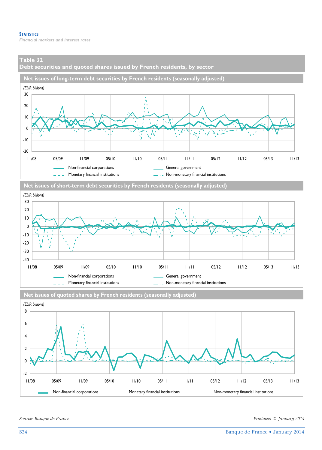**Debt securities and quoted shares issued by French residents, by sector** 







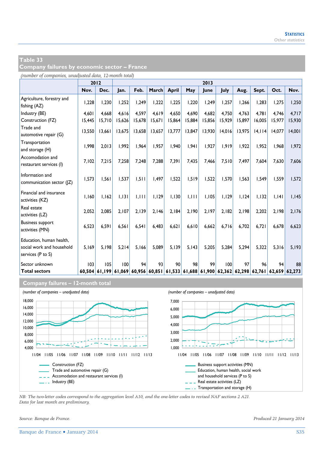**Company failures by economic sector – France** 

|                                              |        | 2012          |        | 2013   |                                                                              |        |        |        |        |        |        |        |        |
|----------------------------------------------|--------|---------------|--------|--------|------------------------------------------------------------------------------|--------|--------|--------|--------|--------|--------|--------|--------|
|                                              | Nov.   | Dec.          | Jan.   | Feb.   | March                                                                        | April  | May    | June   | July   | Aug.   | Sept.  | Oct.   | Nov.   |
| Agriculture, forestry and<br>fishing (AZ)    | 1,228  | 1,230         | 1.252  | 1.249  | 1,222                                                                        | 1,225  | 1,220  | 1,249  | 1,257  | 1,266  | 1.283  | 1,275  | 1,250  |
| Industry (BE)                                | 4,601  | 4,668         | 4.616  | 4.597  | 4.619                                                                        | 4,650  | 4.690  | 4.682  | 4,750  | 4,763  | 4.781  | 4.746  | 4,717  |
| Construction (FZ)                            | 15,445 | 15,710        | 15,626 | 15,678 | 15,671                                                                       | 15,864 | 15,884 | 15,856 | 15,929 | 15,897 | 16,005 | 15,977 | 15,930 |
| Trade and<br>automotive repair (G)           | 13,550 | 13,661        | 13,675 | 13,658 | 13,657                                                                       | 13,777 | 13,847 | 13,930 | 14,016 | 13,975 | 14,114 | 14,077 | 14,001 |
| Transportation<br>and storage (H)            | 1,998  | 2,013         | 1.992  | 1.964  | 1.957                                                                        | 1,940  | 1.941  | 1,927  | 1,919  | 1.922  | 1,952  | 1.968  | 1,972  |
| Accomodation and<br>restaurant services (I)  | 7,102  | 7,215         | 7.258  | 7.248  | 7,288                                                                        | 7,391  | 7.435  | 7.466  | 7,510  | 7.497  | 7.604  | 7.630  | 7,606  |
| Information and<br>communication sector ( Z) | 1,573  | 1,561         | 1.537  | 1,511  | 1,497                                                                        | 1,522  | 1.519  | 1,522  | 1,570  | 1.563  | 1.549  | 1,559  | 1,572  |
| Financial and insurance<br>activities (KZ)   | 1,160  | 1,162         | 1.131  | 1,111  | 1,129                                                                        | 1,130  | 1,111  | 1,105  | 1,129  | 1,124  | 1,132  | 1,141  | 1,145  |
| Real estate<br>activities (LZ)               | 2,052  | 2,085         | 2.107  | 2.139  | 2.146                                                                        | 2,184  | 2.190  | 2.197  | 2.182  | 2.198  | 2,202  | 2.198  | 2,176  |
| <b>Business support</b><br>activities (MN)   | 6,523  | 6,591         | 6.561  | 6.541  | 6.483                                                                        | 6,621  | 6.610  | 6,662  | 6.716  | 6.702  | 6.721  | 6.678  | 6,623  |
| Education, human health,                     |        |               |        |        |                                                                              |        |        |        |        |        |        |        |        |
| social work and household                    | 5,169  | 5.198         | 5.214  | 5.166  | 5.089                                                                        | 5, 139 | 5.143  | 5,205  | 5,284  | 5.294  | 5,322  | 5,316  | 5,193  |
| services (P to S)                            |        |               |        |        |                                                                              |        |        |        |        |        |        |        |        |
| Sector unknown                               | 103    | 105           | 100    | 94     | 93                                                                           | 90     | 98     | 99     | 100    | 97     | 96     | 94     | 88     |
| <b>Total sectors</b>                         |        | 60,504 61,199 |        |        | 61,069 60,956 60,851 61,533 61,688 61,900 62,362 62,298 62,761 62,659 62,273 |        |        |        |        |        |        |        |        |

#### **Company failures – 12-month total**



*NB: The two-letter codes correspond to the aggregation level A10, and the one-letter codes to revised NAF sections 2 A21. Data for last month are preliminary.*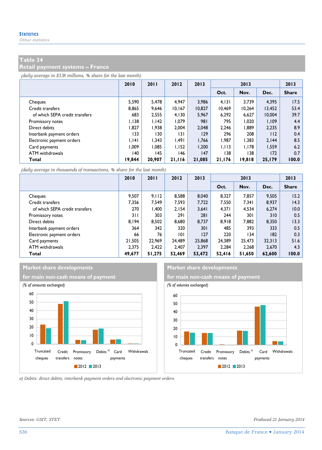**Retail payment systems – France** 

*(daily average in EUR millions, % share for the last month)*

|                                | 2010   | 2011   | 2012   | 2013   | 2013   |        |        | 2013         |
|--------------------------------|--------|--------|--------|--------|--------|--------|--------|--------------|
|                                |        |        |        |        | Oct.   | Nov.   | Dec.   | <b>Share</b> |
| Cheques                        | 5.590  | 5.478  | 4.947  | 3.986  | 4.131  | 3.739  | 4.395  | 17.5         |
| Credit transfers               | 8.865  | 9.646  | 10,167 | 10,827 | 10.469 | 10.264 | 13.452 | 53.4         |
| of which SEPA credit transfers | 683    | 2.555  | 4.130  | 5.967  | 6.292  | 6.627  | 10,004 | 39.7         |
| Promissory notes               | 1.138  | 1.142  | 1.079  | 981    | 795    | 1.020  | 1,109  | 4.4          |
| Direct debits                  | 1.827  | 1.938  | 2.004  | 2.048  | 2.246  | 1.889  | 2,235  | 8.9          |
| Interbank payment orders       | 133    | 130    | 3      | 129    | 296    | 208    | 112    | 0.4          |
| Electronic payment orders      | 1.141  | 1.343  | 1.491  | 1.766  | 1.987  | 1.383  | 2.144  | 8.5          |
| Card payments                  | 1.009  | 1.085  | 1.152  | 1.200  | 1.113  | 1.178  | 1,559  | 6.2          |
| ATM withdrawals                | 140    | 145    | 146    | 147    | 138    | 138    | 172    | 0.7          |
| Total                          | 19,844 | 20,907 | 21,116 | 21,085 | 21,176 | 19.818 | 25,179 | 100.0        |

*(daily average in thousands of transactions, % share for the last month)*

|                                | 2010   | 2011   | 2012   | 2013   | 2013   |        |        | 2013         |
|--------------------------------|--------|--------|--------|--------|--------|--------|--------|--------------|
|                                |        |        |        |        | Oct.   | Nov.   | Dec.   | <b>Share</b> |
| Cheques                        | 9.507  | 9,112  | 8.588  | 8.040  | 8.327  | 7,857  | 9.505  | 15.2         |
| Credit transfers               | 7.356  | 7.549  | 7.593  | 7.722  | 7.550  | 7.341  | 8.937  | 14.3         |
| of which SEPA credit transfers | 270    | 1.400  | 2.154  | 3.641  | 4,371  | 4,534  | 6,274  | 10.0         |
| Promissory notes               | 3 I I  | 303    | 291    | 281    | 244    | 301    | 310    | 0.5          |
| Direct debits                  | 8.194  | 8.502  | 8.680  | 8.737  | 8.918  | 7.882  | 8,350  | 13.3         |
| Interbank payment orders       | 364    | 342    | 320    | 301    | 485    | 393    | 333    | 0.5          |
| Electronic payment orders      | 66     | 76     | 101    | 127    | 220    | 134    | 182    | 0.3          |
| Card payments                  | 21.505 | 22.969 | 24.489 | 25,868 | 24.389 | 25.473 | 32.313 | 51.6         |
| ATM withdrawals                | 2.375  | 2.422  | 2.407  | 2.397  | 2.284  | 2.268  | 2.670  | 4.3          |
| Total                          | 49,677 | 51.275 | 52,469 | 53.472 | 52.416 | 51,650 | 62.600 | 100.0        |

#### **Market share developments** Market share developments





*a) Debits: direct debits, interbank payment orders and electronic payment orders.* 

*Sources: GSIT, STET. Produced 21 January 2014*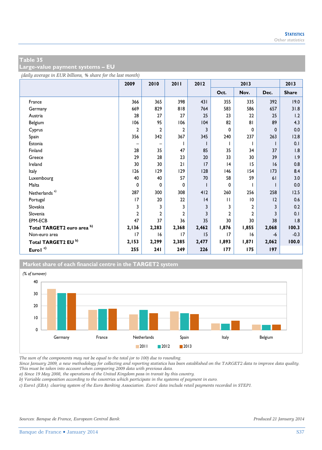**Large-value payment systems – EU** 

*(daily average in EUR billions, % share for the last month)*

|                                       | 2009           | 2010         | 2011  | 2012  | 2013           |                |             | 2013         |
|---------------------------------------|----------------|--------------|-------|-------|----------------|----------------|-------------|--------------|
|                                       |                |              |       |       | Oct.           | Nov.           | Dec.        | <b>Share</b> |
| France                                | 366            | 365          | 398   | 431   | 355            | 335            | 392         | 19.0         |
| Germany                               | 669            | 829          | 818   | 764   | 583            | 586            | 657         | 31.8         |
| Austria                               | 28             | 27           | 27    | 25    | 23             | 22             | 25          | 1.2          |
| Belgium                               | 106            | 95           | 106   | 104   | 82             | 81             | 89          | 4.3          |
| Cyprus                                | 2              | 2            | 2     | 3     | 0              | $\mathbf 0$    | $\mathbf 0$ | 0.0          |
| Spain                                 | 356            | 342          | 367   | 345   | 240            | 237            | 263         | 12.8         |
| Estonia                               |                |              | L     |       | $\mathbf{I}$   | L              |             | 0.1          |
| Finland                               | 28             | 35           | 47    | 85    | 35             | 34             | 37          | 1.8          |
| Greece                                | 29             | 28           | 23    | 20    | 33             | 30             | 39          | 1.9          |
| Ireland                               | 30             | 30           | 21    | 17    | 4              | 15             | 16          | 0.8          |
| Italy                                 | 126            | 129          | 129   | 128   | 146            | 154            | 173         | 8.4          |
| Luxembourg                            | 40             | 40           | 57    | 70    | 58             | 59             | 61          | 3.0          |
| Malta                                 | 0              | 0            | 0     |       | 0              |                |             | 0.0          |
| Netherlands <sup>a)</sup>             | 287            | 300          | 308   | 412   | 260            | 256            | 258         | 12.5         |
| Portugal                              | 17             | 20           | 22    | 4     | $\mathbf{H}$   | 10             | 12          | 0.6          |
| Slovakia                              | 3              | 3            | 3     | 3     | 3              | $\mathbf{2}$   | 3           | 0.2          |
| Slovenia                              | $\overline{2}$ | $\mathbf{z}$ | 2     | 3     | $\overline{2}$ | $\overline{2}$ | 3           | 0.1          |
| EPM-ECB                               | 47             | 37           | 36    | 35    | 30             | 30             | 38          | 1.8          |
| Total TARGET2 euro area <sup>b)</sup> | 2,136          | 2,283        | 2,368 | 2,462 | 1,876          | 1,855          | 2,068       | 100.3        |
| Non-euro area                         | 17             | 16           | 17    | 15    | 17             | 16             | -6          | $-0.3$       |
| Total TARGET2 EU <sup>b)</sup>        | 2,153          | 2,299        | 2,385 | 2,477 | 1,893          | 1,871          | 2,062       | 100.0        |
| Eurol <sup>c)</sup>                   | 255            | 241          | 249   | 226   | 177            | 175            | 197         |              |

**Market share of each financial centre in the TARGET2 system**



*The sum of the components may not be equal to the total (or to 100) due to rounding.* 

*Since January 2009, a new methodology for collecting and reporting statistics has been established on the TARGET2 data to improve data quality. This must be taken into account when comparing 2009 data with previous data.* 

*a) Since 19 May 2008, the operations of the United Kingdom pass in transit by this country.* 

*b) Variable composition according to the countries which participate in the systems of payment in euro.* 

*c) Euro1 (EBA): clearing system of the Euro Banking Association. Euro1 data include retail payments recorded in STEP1.*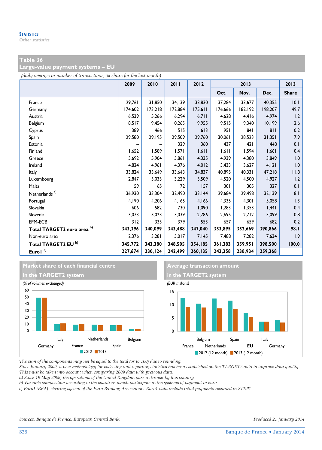**Large-value payment systems – EU** 

*(daily average in number of transactions, % share for the last month)*

|                                | 2009    | 2010    | 2011    | 2012    | 2013    |         |         | 2013         |
|--------------------------------|---------|---------|---------|---------|---------|---------|---------|--------------|
|                                |         |         |         |         | Oct.    | Nov.    | Dec.    | <b>Share</b> |
| France                         | 29,761  | 31,850  | 34,139  | 33,830  | 37,284  | 33,677  | 40,355  | 10.1         |
| Germany                        | 174,602 | 173,218 | 172,884 | 175,611 | 176,666 | 182,192 | 198,207 | 49.7         |
| Austria                        | 6,539   | 5,266   | 6,294   | 6,711   | 4,628   | 4,416   | 4,974   | 1.2          |
| Belgium                        | 8,517   | 9,454   | 10,265  | 9,955   | 9,515   | 9,340   | 10,199  | 2.6          |
| Cyprus                         | 389     | 466     | 515     | 613     | 951     | 841     | 811     | 0.2          |
| Spain                          | 29,580  | 29,195  | 29,509  | 29,760  | 30,061  | 28,523  | 31,351  | 7.9          |
| Estonia                        |         |         | 329     | 360     | 437     | 421     | 448     | 0.1          |
| Finland                        | 1,652   | 1,589   | 1,571   | 1,611   | 1,611   | 1,594   | 1,661   | 0.4          |
| Greece                         | 5,692   | 5,904   | 5,861   | 4,335   | 4,939   | 4,380   | 3,849   | 1.0          |
| Ireland                        | 4,824   | 4,961   | 4,376   | 4,012   | 3,433   | 3,627   | 4, 121  | 1.0          |
| Italy                          | 33,824  | 33,649  | 33,643  | 34,837  | 40.895  | 40.331  | 47,218  | 11.8         |
| Luxembourg                     | 2,847   | 3,033   | 3,229   | 3,509   | 4,520   | 4,500   | 4,927   | 1.2          |
| Malta                          | 59      | 65      | 72      | 157     | 301     | 305     | 327     | 0.1          |
| Netherlands <sup>a)</sup>      | 36,930  | 33,304  | 32,490  | 33,144  | 29,684  | 29,498  | 32,139  | 8.1          |
| Portugal                       | 4,190   | 4,206   | 4,165   | 4,166   | 4,335   | 4,301   | 5,058   | 1.3          |
| Slovakia                       | 606     | 582     | 730     | 1,090   | 1,283   | 1,353   | 1,441   | 0.4          |
| Slovenia                       | 3,073   | 3,023   | 3,039   | 2,786   | 2,695   | 2,712   | 3,099   | 0.8          |
| EPM-ECB                        | 312     | 333     | 379     | 553     | 657     | 659     | 682     | 0.2          |
| Total TARGET2 euro area b)     | 343,396 | 340,099 | 343,488 | 347,040 | 353,895 | 352,669 | 390,866 | 98.I         |
| Non-euro area                  | 2,376   | 3,281   | 5,017   | 7,145   | 7,488   | 7,282   | 7,634   | 1.9          |
| Total TARGET2 EU <sup>b)</sup> | 345,772 | 343,380 | 348,505 | 354,185 | 361,383 | 359,951 | 398,500 | 100.0        |
| Eurol <sup>c)</sup>            | 227,674 | 230,124 | 242,499 | 260,135 | 243,358 | 238,934 | 259,368 |              |





*The sum of the components may not be equal to the total (or to 100) due to rounding.* 

*Since January 2009, a new methodology for collecting and reporting statistics has been established on the TARGET2 data to improve data quality. This must be taken into account when comparing 2009 data with previous data.* 

*a) Since 19 May 2008, the operations of the United Kingdom pass in transit by this country.* 

*b) Variable composition according to the countries which participate in the systems of payment in euro.* 

*c) Euro1 (EBA): clearing system of the Euro Banking Association. Euro1 data include retail payments recorded in STEP1.*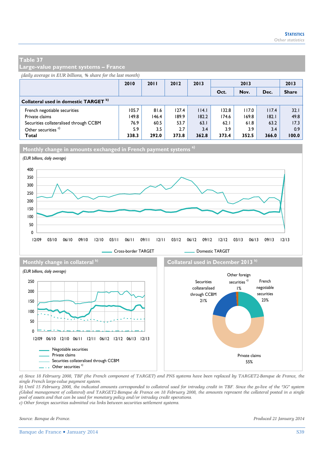**Large-value payment systems – France** 

*(daily average in EUR billions, % share for the last month)*

|                                                  | 2010  | 2011  | 2012  | 2013  | 2013  |       |       | 2013         |
|--------------------------------------------------|-------|-------|-------|-------|-------|-------|-------|--------------|
|                                                  |       |       |       |       | Oct.  | Nov.  | Dec.  | <b>Share</b> |
| Collateral used in domestic TARGET <sup>b)</sup> |       |       |       |       |       |       |       |              |
| French negotiable securities                     | 105.7 | 81.6  | 127.4 | 114.1 | 132.8 | 117.0 | 117.4 | 32.1         |
| Private claims                                   | 149.8 | 146.4 | 189.9 | 182.2 | 174.6 | 169.8 | 182.1 | 49.8         |
| Securities collateralised through CCBM           | 76.9  | 60.5  | 53.7  | 63.1  | 62.1  | 61.8  | 63.2  | 17.3         |
| Other securities <sup>c)</sup>                   | 5.9   | 3.5   | 2.7   | 3.4   | 3.9   | 3.9   | 3.4   | 0.9          |
| Total                                            | 338.3 | 292.0 | 373.8 | 362.8 | 373.4 | 352.5 | 366.0 | 100.0        |



*a) Since 18 February 2008, TBF (the French component of TARGET) and PNS systems have been replaced by TARGET2-Banque de France, the single French large-value payment system.* 

*b) Until 15 February 2008, the indicated amounts corresponded to collateral used for intraday credit in TBF. Since the go-live of the "3G" system (Global management of collateral) and TARGET2-Banque de France on 18 February 2008, the amounts represent the collateral posted in a single pool of assets and that can be used for monetary policy and/or intraday credit operations.* 

*c) Other foreign securities submitted via links between securities settlement systems.* 

......... Securities collateralised through CCBM

*Source: Banque de France. Produced 21 January 2014* 

55%

 $\frac{1}{2}$ . Other securities c)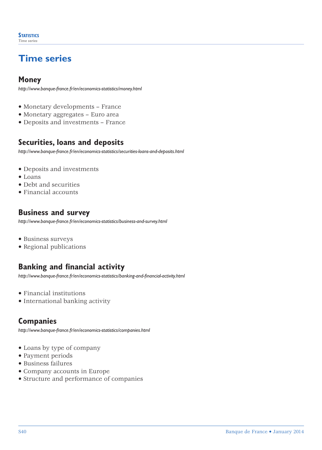# **Time series**

## **Money**

*http://www.banque-france.fr/en/economics-statistics/money.html*

- Monetary developments France
- Monetary aggregates Euro area
- Deposits and investments France

## **Securities, loans and deposits**

*http://www.banque-france.fr/en/economics-statistics/securities-loans-and-deposits.html*

- Deposits and investments
- Loans
- Debt and securities
- Financial accounts

## **Business and survey**

*http://www.banque-france.fr/en/economics-statistics/business-and-survey.html*

- Business surveys
- Regional publications

## **Banking and financial activity**

*http://www.banque-france.fr/en/economics-statistics/banking-and-financial-activity.html*

- Financial institutions
- International banking activity

### **Companies**

*http://www.banque-france.fr/en/economics-statistics/companies.html*

- Loans by type of company
- Payment periods
- Business failures
- Company accounts in Europe
- Structure and performance of companies